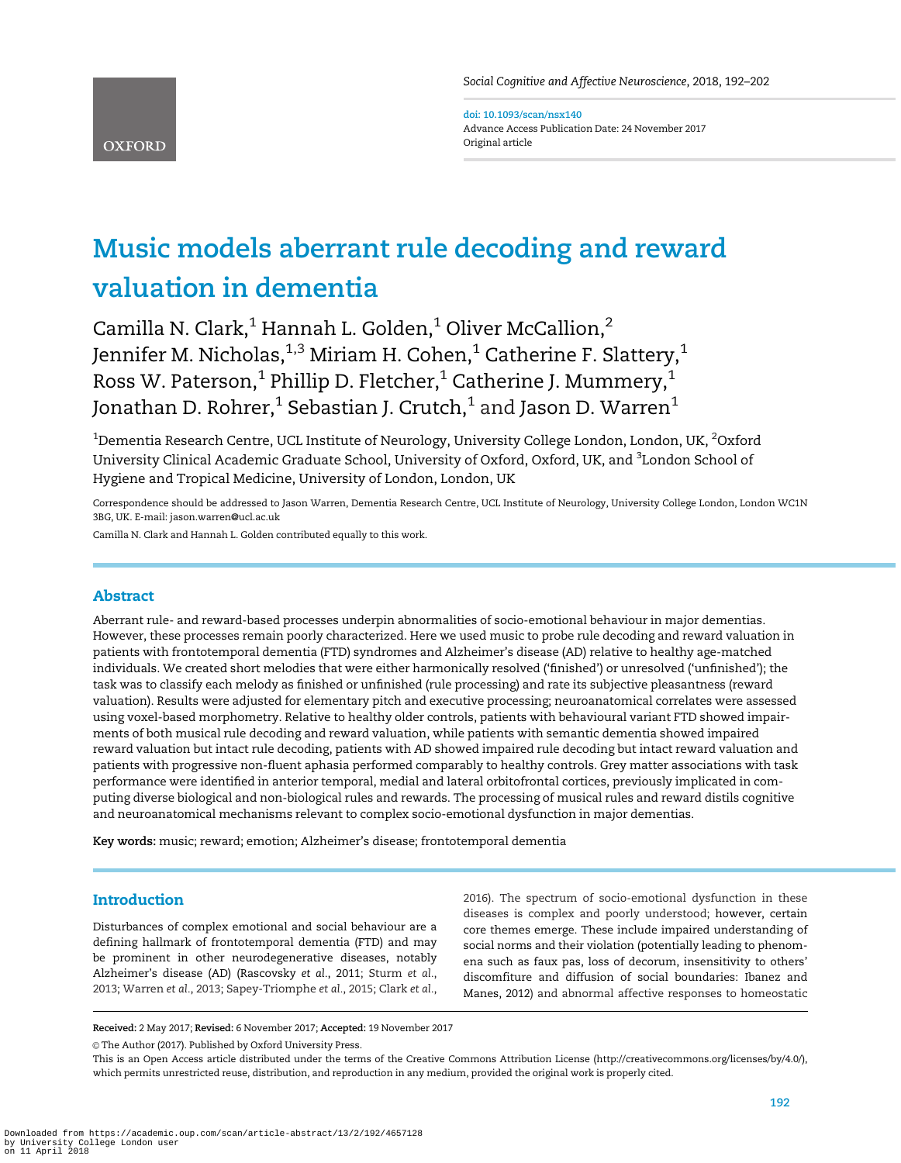Social Cognitive and Affective Neuroscience, 2018, 192–202

doi: 10.1093/scan/nsx140 Advance Access Publication Date: 24 November 2017 Original article

# Music models aberrant rule decoding and reward valuation in dementia

Camilla N. Clark,<sup>1</sup> Hannah L. Golden,<sup>1</sup> Oliver McCallion,<sup>2</sup> Jennifer M. Nicholas,  $1,3$  Miriam H. Cohen,  $1$  Catherine F. Slattery,  $1$ Ross W. Paterson,<sup>1</sup> Phillip D. Fletcher,<sup>1</sup> Catherine J. Mummery,<sup>1</sup> Jonathan D. Rohrer,<sup>1</sup> Sebastian J. Crutch,<sup>1</sup> and Jason D. Warren<sup>1</sup>

 $^{\rm 1}$ Dementia Research Centre, UCL Institute of Neurology, University College London, London, UK,  $^{\rm 2}$ Oxford University Clinical Academic Graduate School, University of Oxford, Oxford, UK, and <sup>3</sup>London School of Hygiene and Tropical Medicine, University of London, London, UK

Correspondence should be addressed to Jason Warren, Dementia Research Centre, UCL Institute of Neurology, University College London, London WC1N 3BG, UK. E-mail: jason.warren@ucl.ac.uk

Camilla N. Clark and Hannah L. Golden contributed equally to this work.

# Abstract

**OXFORD** 

Aberrant rule- and reward-based processes underpin abnormalities of socio-emotional behaviour in major dementias. However, these processes remain poorly characterized. Here we used music to probe rule decoding and reward valuation in patients with frontotemporal dementia (FTD) syndromes and Alzheimer's disease (AD) relative to healthy age-matched individuals. We created short melodies that were either harmonically resolved ('finished') or unresolved ('unfinished'); the task was to classify each melody as finished or unfinished (rule processing) and rate its subjective pleasantness (reward valuation). Results were adjusted for elementary pitch and executive processing; neuroanatomical correlates were assessed using voxel-based morphometry. Relative to healthy older controls, patients with behavioural variant FTD showed impairments of both musical rule decoding and reward valuation, while patients with semantic dementia showed impaired reward valuation but intact rule decoding, patients with AD showed impaired rule decoding but intact reward valuation and patients with progressive non-fluent aphasia performed comparably to healthy controls. Grey matter associations with task performance were identified in anterior temporal, medial and lateral orbitofrontal cortices, previously implicated in computing diverse biological and non-biological rules and rewards. The processing of musical rules and reward distils cognitive and neuroanatomical mechanisms relevant to complex socio-emotional dysfunction in major dementias.

Key words: music; reward; emotion; Alzheimer's disease; frontotemporal dementia

# Introduction

Disturbances of complex emotional and social behaviour are a defining hallmark of frontotemporal dementia (FTD) and may be prominent in other neurodegenerative diseases, notably Alzheimer's disease (AD) [\(Rascovsky](#page-9-0) et al., 2011; [Sturm](#page-10-0) et al., [2013; Warren](#page-10-0) et al., 2013; [Sapey-Triomphe](#page-10-0) et al., 2015; [Clark](#page-8-0) et al., [2016\)](#page-8-0). The spectrum of socio-emotional dysfunction in these diseases is complex and poorly understood; however, certain core themes emerge. These include impaired understanding of social norms and their violation (potentially leading to phenomena such as faux pas, loss of decorum, insensitivity to others' discomfiture and diffusion of social boundaries: [Ibanez and](#page-9-0) [Manes, 2012](#page-9-0)) and abnormal affective responses to homeostatic

Received: 2 May 2017; Revised: 6 November 2017; Accepted: 19 November 2017

© The Author (2017). Published by Oxford University Press.

This is an Open Access article distributed under the terms of the Creative Commons Attribution License (http://creativecommons.org/licenses/by/4.0/), which permits unrestricted reuse, distribution, and reproduction in any medium, provided the original work is properly cited.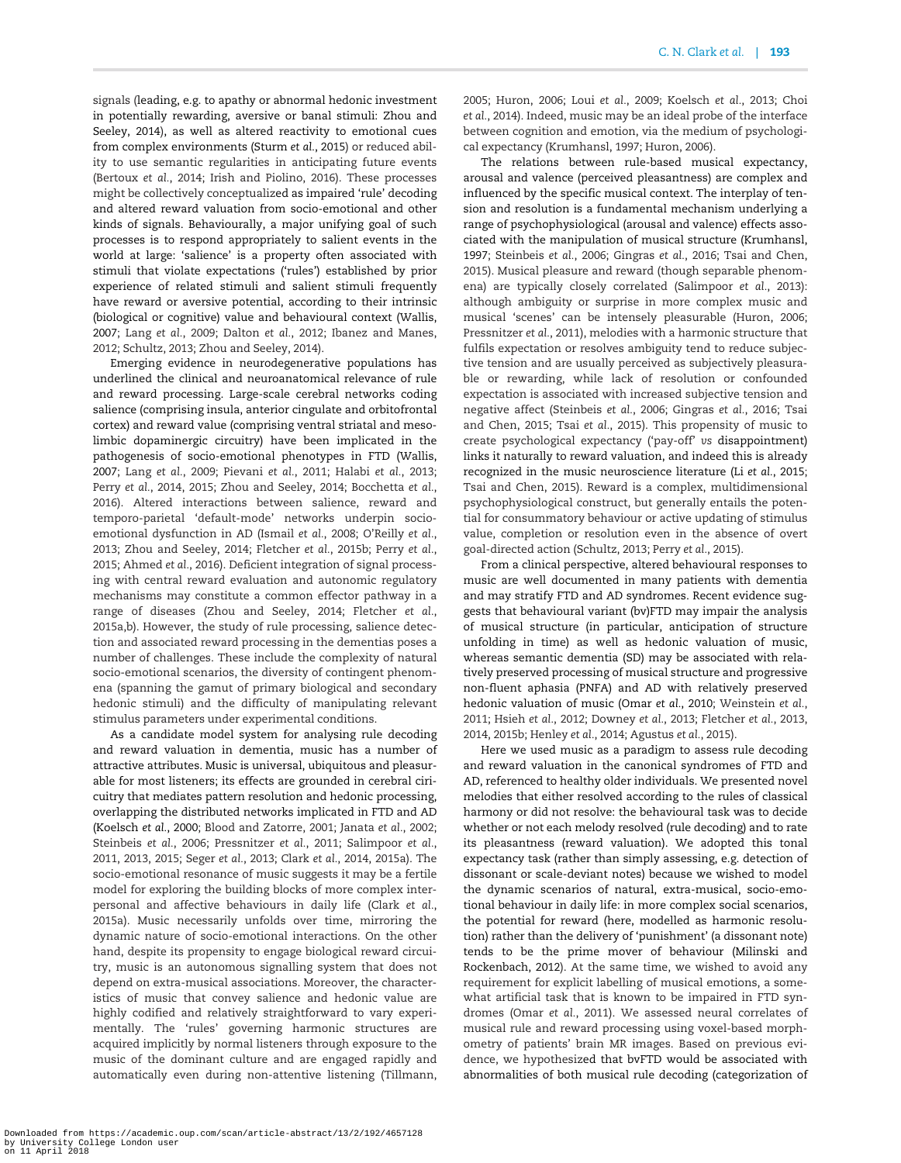signals (leading, e.g. to apathy or abnormal hedonic investment in potentially rewarding, aversive or banal stimuli: [Zhou and](#page-10-0) [Seeley, 2014](#page-10-0)), as well as altered reactivity to emotional cues from complex environments ([Sturm](#page-10-0) et al., 2015) or reduced ability to use semantic regularities in anticipating future events [\(Bertoux](#page-8-0) et al., 2014; [Irish and Piolino, 2016](#page-9-0)). These processes might be collectively conceptualized as impaired 'rule' decoding and altered reward valuation from socio-emotional and other kinds of signals. Behaviourally, a major unifying goal of such processes is to respond appropriately to salient events in the world at large: 'salience' is a property often associated with stimuli that violate expectations ('rules') established by prior experience of related stimuli and salient stimuli frequently have reward or aversive potential, according to their intrinsic (biological or cognitive) value and behavioural context ([Wallis,](#page-10-0) [2007;](#page-10-0) Lang et al.[, 2009](#page-9-0); [Dalton](#page-8-0) et al., 2012; [Ibanez and Manes,](#page-9-0) [2012;](#page-9-0) [Schultz, 2013](#page-10-0); [Zhou and Seeley, 2014](#page-10-0)).

Emerging evidence in neurodegenerative populations has underlined the clinical and neuroanatomical relevance of rule and reward processing. Large-scale cerebral networks coding salience (comprising insula, anterior cingulate and orbitofrontal cortex) and reward value (comprising ventral striatal and mesolimbic dopaminergic circuitry) have been implicated in the pathogenesis of socio-emotional phenotypes in FTD ([Wallis,](#page-10-0) [2007;](#page-10-0) Lang et al.[, 2009](#page-9-0); [Pievani](#page-9-0) et al., 2011; [Halabi](#page-9-0) et al., 2013; Perry et al.[, 2014, 2015](#page-9-0); [Zhou and Seeley, 2014](#page-10-0); [Bocchetta](#page-8-0) et al., [2016\)](#page-8-0). Altered interactions between salience, reward and temporo-parietal 'default-mode' networks underpin socioemotional dysfunction in AD [\(Ismail](#page-9-0) et al., 2008; [O'Reilly](#page-9-0) et al., [2013;](#page-9-0) [Zhou and Seeley, 2014](#page-10-0); [Fletcher](#page-8-0) et al., 2015b; [Perry](#page-9-0) et al., [2015;](#page-9-0) [Ahmed](#page-8-0) et al., 2016). Deficient integration of signal processing with central reward evaluation and autonomic regulatory mechanisms may constitute a common effector pathway in a range of diseases ([Zhou and Seeley, 2014;](#page-10-0) [Fletcher](#page-8-0) et al., [2015a,b](#page-8-0)). However, the study of rule processing, salience detection and associated reward processing in the dementias poses a number of challenges. These include the complexity of natural socio-emotional scenarios, the diversity of contingent phenomena (spanning the gamut of primary biological and secondary hedonic stimuli) and the difficulty of manipulating relevant stimulus parameters under experimental conditions.

As a candidate model system for analysing rule decoding and reward valuation in dementia, music has a number of attractive attributes. Music is universal, ubiquitous and pleasurable for most listeners; its effects are grounded in cerebral ciricuitry that mediates pattern resolution and hedonic processing, overlapping the distributed networks implicated in FTD and AD [\(Koelsch](#page-9-0) et al., 2000; [Blood and Zatorre, 2001;](#page-8-0) [Janata](#page-9-0) et al., 2002; [Steinbeis](#page-10-0) et al., 2006; [Pressnitzer](#page-9-0) et al., 2011; [Salimpoor](#page-10-0) et al., [2011, 2013, 2015;](#page-10-0) Seger et al.[, 2013;](#page-10-0) Clark et al.[, 2014, 2015a](#page-8-0)). The socio-emotional resonance of music suggests it may be a fertile model for exploring the building blocks of more complex interpersonal and affective behaviours in daily life [\(Clark](#page-8-0) et al., [2015a](#page-8-0)). Music necessarily unfolds over time, mirroring the dynamic nature of socio-emotional interactions. On the other hand, despite its propensity to engage biological reward circuitry, music is an autonomous signalling system that does not depend on extra-musical associations. Moreover, the characteristics of music that convey salience and hedonic value are highly codified and relatively straightforward to vary experimentally. The 'rules' governing harmonic structures are acquired implicitly by normal listeners through exposure to the music of the dominant culture and are engaged rapidly and automatically even during non-attentive listening [\(Tillmann,](#page-10-0) [2005;](#page-10-0) [Huron, 2006;](#page-9-0) Loui et al.[, 2009](#page-9-0); [Koelsch](#page-9-0) et al., 2013; [Choi](#page-8-0) et al.[, 2014\)](#page-8-0). Indeed, music may be an ideal probe of the interface between cognition and emotion, via the medium of psychological expectancy [\(Krumhansl, 1997; Huron, 2006](#page-9-0)).

The relations between rule-based musical expectancy, arousal and valence (perceived pleasantness) are complex and influenced by the specific musical context. The interplay of tension and resolution is a fundamental mechanism underlying a range of psychophysiological (arousal and valence) effects associated with the manipulation of musical structure ([Krumhansl,](#page-9-0) [1997;](#page-9-0) [Steinbeis](#page-10-0) et al., 2006; [Gingras](#page-8-0) et al., 2016; [Tsai and Chen,](#page-10-0) [2015\)](#page-10-0). Musical pleasure and reward (though separable phenomena) are typically closely correlated ([Salimpoor](#page-10-0) et al., 2013): although ambiguity or surprise in more complex music and musical 'scenes' can be intensely pleasurable ([Huron, 2006](#page-9-0); [Pressnitzer](#page-9-0) et al., 2011), melodies with a harmonic structure that fulfils expectation or resolves ambiguity tend to reduce subjective tension and are usually perceived as subjectively pleasurable or rewarding, while lack of resolution or confounded expectation is associated with increased subjective tension and negative affect [\(Steinbeis](#page-10-0) et al., 2006; [Gingras](#page-8-0) et al., 2016; [Tsai](#page-10-0) [and Chen, 2015](#page-10-0); Tsai et al.[, 2015](#page-10-0)). This propensity of music to create psychological expectancy ('pay-off' vs disappointment) links it naturally to reward valuation, and indeed this is already recognized in the music neuroscience literature (Li et al.[, 2015](#page-9-0); [Tsai and Chen, 2015\)](#page-10-0). Reward is a complex, multidimensional psychophysiological construct, but generally entails the potential for consummatory behaviour or active updating of stimulus value, completion or resolution even in the absence of overt goal-directed action [\(Schultz, 2013;](#page-10-0) Perry et al.[, 2015](#page-9-0)).

From a clinical perspective, altered behavioural responses to music are well documented in many patients with dementia and may stratify FTD and AD syndromes. Recent evidence suggests that behavioural variant (bv)FTD may impair the analysis of musical structure (in particular, anticipation of structure unfolding in time) as well as hedonic valuation of music, whereas semantic dementia (SD) may be associated with relatively preserved processing of musical structure and progressive non-fluent aphasia (PNFA) and AD with relatively preserved hedonic valuation of music (Omar et al.[, 2010;](#page-9-0) [Weinstein](#page-10-0) et al., [2011;](#page-10-0) Hsieh et al.[, 2012;](#page-9-0) [Downey](#page-8-0) et al., 2013; [Fletcher](#page-8-0) et al., 201[3,](#page-8-0) [2014, 2015b;](#page-8-0) [Henley](#page-9-0) et al., 2014; [Agustus](#page-7-0) et al., 2015).

Here we used music as a paradigm to assess rule decoding and reward valuation in the canonical syndromes of FTD and AD, referenced to healthy older individuals. We presented novel melodies that either resolved according to the rules of classical harmony or did not resolve: the behavioural task was to decide whether or not each melody resolved (rule decoding) and to rate its pleasantness (reward valuation). We adopted this tonal expectancy task (rather than simply assessing, e.g. detection of dissonant or scale-deviant notes) because we wished to model the dynamic scenarios of natural, extra-musical, socio-emotional behaviour in daily life: in more complex social scenarios, the potential for reward (here, modelled as harmonic resolution) rather than the delivery of 'punishment' (a dissonant note) tends to be the prime mover of behaviour [\(Milinski and](#page-9-0) [Rockenbach, 2012\)](#page-9-0). At the same time, we wished to avoid any requirement for explicit labelling of musical emotions, a somewhat artificial task that is known to be impaired in FTD syndromes (Omar et al.[, 2011\)](#page-9-0). We assessed neural correlates of musical rule and reward processing using voxel-based morphometry of patients' brain MR images. Based on previous evidence, we hypothesized that bvFTD would be associated with abnormalities of both musical rule decoding (categorization of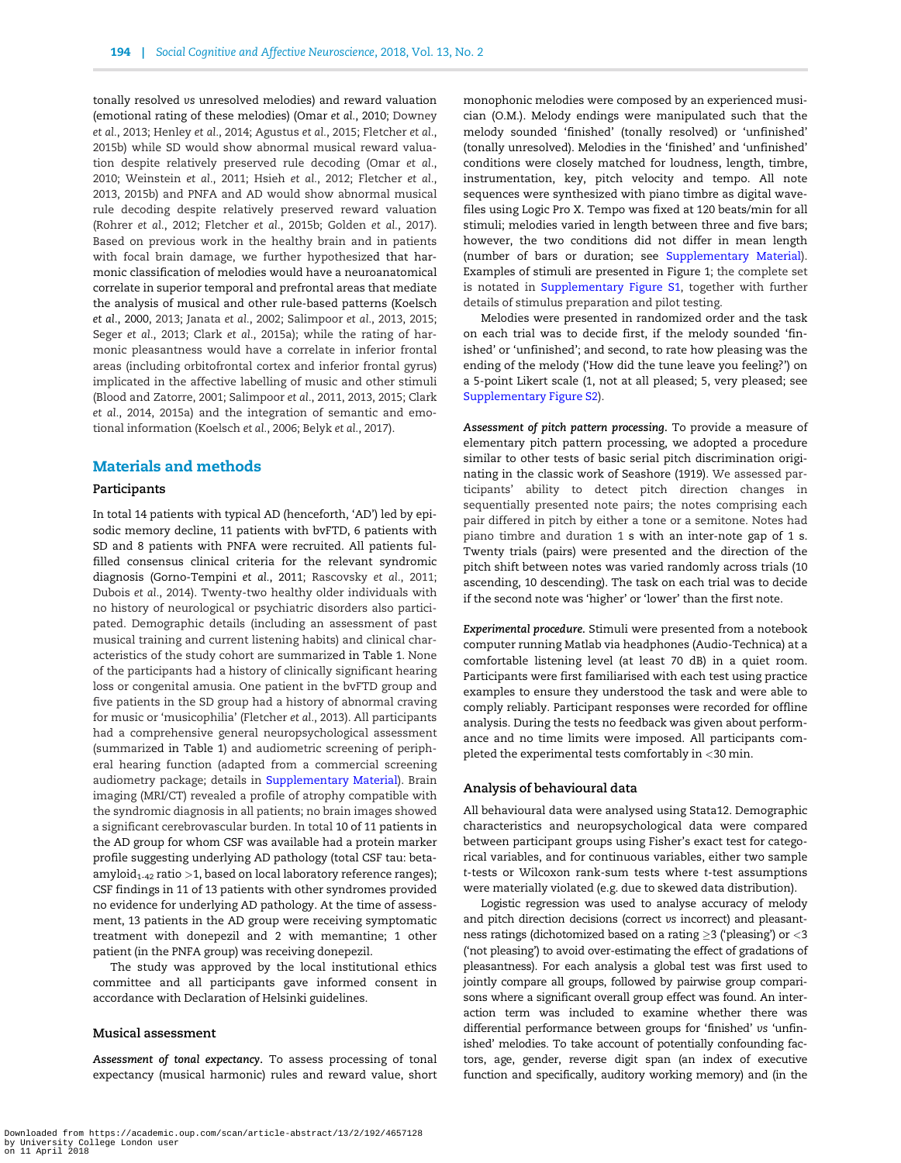tonally resolved vs unresolved melodies) and reward valuation (emotional rating of these melodies) (Omar et al.[, 2010;](#page-9-0) [Downey](#page-8-0) et al.[, 2013](#page-8-0); [Henley](#page-9-0) et al., 2014; [Agustus](#page-7-0) et al., 2015; [Fletcher](#page-8-0) et al., [2015b](#page-8-0)) while SD would show abnormal musical reward valuation despite relatively preserved rule decoding [\(Omar](#page-9-0) et al., [2010;](#page-9-0) [Weinstein](#page-10-0) et al., 2011; Hsieh et al.[, 2012](#page-9-0); [Fletcher](#page-8-0) et al., [2013, 2015b\)](#page-8-0) and PNFA and AD would show abnormal musical rule decoding despite relatively preserved reward valuation [\(Rohrer](#page-10-0) et al., 2012; [Fletcher](#page-8-0) et al., 2015b; [Golden](#page-8-0) et al., 2017). Based on previous work in the healthy brain and in patients with focal brain damage, we further hypothesized that harmonic classification of melodies would have a neuroanatomical correlate in superior temporal and prefrontal areas that mediate the analysis of musical and other rule-based patterns [\(Koelsch](#page-9-0) et al.[, 2000](#page-9-0), [2013](#page-9-0); [Janata](#page-9-0) et al., 2002; [Salimpoor](#page-10-0) et al., 2013, [2015](#page-10-0); Seger et al.[, 2013](#page-10-0); Clark et al.[, 2015a\)](#page-8-0); while the rating of harmonic pleasantness would have a correlate in inferior frontal areas (including orbitofrontal cortex and inferior frontal gyrus) implicated in the affective labelling of music and other stimuli [\(Blood and Zatorre, 2001;](#page-8-0) [Salimpoor](#page-10-0) et al., 2011, [2013, 2015;](#page-10-0) [Clark](#page-8-0) et al.[, 2014, 2015a](#page-8-0)) and the integration of semantic and emotional information ([Koelsch](#page-9-0) et al., 2006; Belyk et al.[, 2017](#page-8-0)).

# Materials and methods

#### Participants

In total 14 patients with typical AD (henceforth, 'AD') led by episodic memory decline, 11 patients with bvFTD, 6 patients with SD and 8 patients with PNFA were recruited. All patients fulfilled consensus clinical criteria for the relevant syndromic diagnosis [\(Gorno-Tempini](#page-8-0) et al., 2011; [Rascovsky](#page-9-0) et al., 2011; [Dubois](#page-8-0) et al., 2014). Twenty-two healthy older individuals with no history of neurological or psychiatric disorders also participated. Demographic details (including an assessment of past musical training and current listening habits) and clinical characteristics of the study cohort are summarized in [Table 1](#page-3-0). None of the participants had a history of clinically significant hearing loss or congenital amusia. One patient in the bvFTD group and five patients in the SD group had a history of abnormal craving for music or 'musicophilia' ([Fletcher](#page-8-0) et al., 2013). All participants had a comprehensive general neuropsychological assessment (summarized in [Table 1](#page-3-0)) and audiometric screening of peripheral hearing function (adapted from a commercial screening audiometry package; details in [Supplementary Material](https://academic.oup.com/scan/article-lookup/doi/10.1093/scan/nsx140#supplementary-data)). Brain imaging (MRI/CT) revealed a profile of atrophy compatible with the syndromic diagnosis in all patients; no brain images showed a significant cerebrovascular burden. In total 10 of 11 patients in the AD group for whom CSF was available had a protein marker profile suggesting underlying AD pathology (total CSF tau: betaamyloid $_{1-42}$  ratio >1, based on local laboratory reference ranges); CSF findings in 11 of 13 patients with other syndromes provided no evidence for underlying AD pathology. At the time of assessment, 13 patients in the AD group were receiving symptomatic treatment with donepezil and 2 with memantine; 1 other patient (in the PNFA group) was receiving donepezil.

The study was approved by the local institutional ethics committee and all participants gave informed consent in accordance with Declaration of Helsinki guidelines.

#### Musical assessment

Assessment of tonal expectancy. To assess processing of tonal expectancy (musical harmonic) rules and reward value, short monophonic melodies were composed by an experienced musician (O.M.). Melody endings were manipulated such that the melody sounded 'finished' (tonally resolved) or 'unfinished' (tonally unresolved). Melodies in the 'finished' and 'unfinished' conditions were closely matched for loudness, length, timbre, instrumentation, key, pitch velocity and tempo. All note sequences were synthesized with piano timbre as digital wavefiles using Logic Pro X. Tempo was fixed at 120 beats/min for all stimuli; melodies varied in length between three and five bars; however, the two conditions did not differ in mean length (number of bars or duration; see [Supplementary Material\)](https://academic.oup.com/scan/article-lookup/doi/10.1093/scan/nsx140#supplementary-data). Examples of stimuli are presented in [Figure 1](#page-4-0); the complete set is notated in [Supplementary Figure S1,](https://academic.oup.com/scan/article-lookup/doi/10.1093/scan/nsx140#supplementary-data) together with further details of stimulus preparation and pilot testing.

Melodies were presented in randomized order and the task on each trial was to decide first, if the melody sounded 'finished' or 'unfinished'; and second, to rate how pleasing was the ending of the melody ('How did the tune leave you feeling?') on a 5-point Likert scale (1, not at all pleased; 5, very pleased; see [Supplementary Figure S2\)](https://academic.oup.com/scan/article-lookup/doi/10.1093/scan/nsx140#supplementary-data).

Assessment of pitch pattern processing. To provide a measure of elementary pitch pattern processing, we adopted a procedure similar to other tests of basic serial pitch discrimination originating in the classic work of [Seashore \(1919\)](#page-10-0). We assessed participants' ability to detect pitch direction changes in sequentially presented note pairs; the notes comprising each pair differed in pitch by either a tone or a semitone. Notes had piano timbre and duration 1 s with an inter-note gap of 1 s. Twenty trials (pairs) were presented and the direction of the pitch shift between notes was varied randomly across trials (10 ascending, 10 descending). The task on each trial was to decide if the second note was 'higher' or 'lower' than the first note.

Experimental procedure. Stimuli were presented from a notebook computer running Matlab via headphones (Audio-Technica) at a comfortable listening level (at least 70 dB) in a quiet room. Participants were first familiarised with each test using practice examples to ensure they understood the task and were able to comply reliably. Participant responses were recorded for offline analysis. During the tests no feedback was given about performance and no time limits were imposed. All participants completed the experimental tests comfortably in <30 min.

#### Analysis of behavioural data

All behavioural data were analysed using Stata12. Demographic characteristics and neuropsychological data were compared between participant groups using Fisher's exact test for categorical variables, and for continuous variables, either two sample t-tests or Wilcoxon rank-sum tests where t-test assumptions were materially violated (e.g. due to skewed data distribution).

Logistic regression was used to analyse accuracy of melody and pitch direction decisions (correct vs incorrect) and pleasantness ratings (dichotomized based on a rating  $\geq$ 3 ('pleasing') or  $<$ 3 ('not pleasing') to avoid over-estimating the effect of gradations of pleasantness). For each analysis a global test was first used to jointly compare all groups, followed by pairwise group comparisons where a significant overall group effect was found. An interaction term was included to examine whether there was differential performance between groups for 'finished' vs 'unfinished' melodies. To take account of potentially confounding factors, age, gender, reverse digit span (an index of executive function and specifically, auditory working memory) and (in the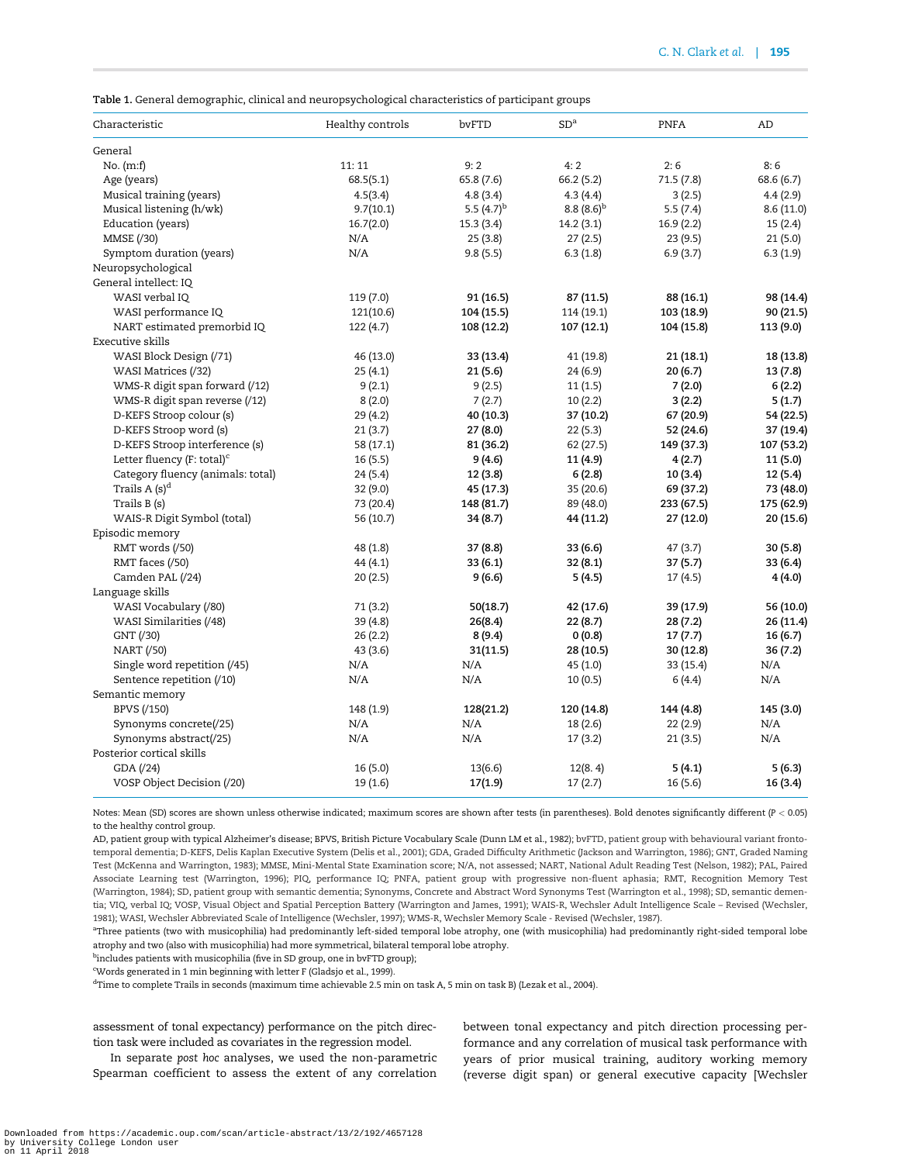<span id="page-3-0"></span>Table 1. General demographic, clinical and neuropsychological characteristics of participant groups

| Characteristic                                      | Healthy controls | bvFTD           | SD <sup>a</sup> | <b>PNFA</b> | AD         |
|-----------------------------------------------------|------------------|-----------------|-----------------|-------------|------------|
| General                                             |                  |                 |                 |             |            |
| No. (m:f)                                           | 11:11            | 9:2             | 4:2             | 2:6         | 8:6        |
| Age (years)                                         | 68.5(5.1)        | 65.8 (7.6)      | 66.2 (5.2)      | 71.5(7.8)   | 68.6 (6.7) |
| Musical training (years)                            | 4.5(3.4)         | 4.8(3.4)        | 4.3(4.4)        | 3(2.5)      | 4.4(2.9)   |
| Musical listening (h/wk)                            | 9.7(10.1)        | 5.5 $(4.7)^{b}$ | $8.8(8.6)^{b}$  | 5.5(7.4)    | 8.6(11.0)  |
| Education (years)                                   | 16.7(2.0)        | 15.3(3.4)       | 14.2(3.1)       | 16.9(2.2)   | 15(2.4)    |
| MMSE (/30)                                          | N/A              | 25(3.8)         | 27(2.5)         | 23(9.5)     | 21(5.0)    |
| Symptom duration (years)                            | N/A              | 9.8(5.5)        | 6.3(1.8)        | 6.9(3.7)    | 6.3(1.9)   |
| Neuropsychological                                  |                  |                 |                 |             |            |
| General intellect: IQ                               |                  |                 |                 |             |            |
| WASI verbal IQ                                      | 119 (7.0)        | 91 (16.5)       | 87 (11.5)       | 88 (16.1)   | 98 (14.4)  |
| WASI performance IQ                                 | 121(10.6)        | 104 (15.5)      | 114 (19.1)      | 103 (18.9)  | 90 (21.5)  |
| NART estimated premorbid IQ                         | 122 (4.7)        | 108 (12.2)      | 107 (12.1)      | 104 (15.8)  | 113 (9.0)  |
| Executive skills                                    |                  |                 |                 |             |            |
| WASI Block Design (/71)                             | 46 (13.0)        | 33 (13.4)       | 41 (19.8)       | 21(18.1)    | 18 (13.8)  |
| WASI Matrices (/32)                                 | 25 (4.1)         | 21 (5.6)        | 24 (6.9)        | 20 (6.7)    | 13 (7.8)   |
| WMS-R digit span forward (/12)                      | 9(2.1)           | 9(2.5)          | 11(1.5)         | 7(2.0)      | 6(2.2)     |
| WMS-R digit span reverse (/12)                      | 8(2.0)           | 7(2.7)          | 10(2.2)         | 3(2.2)      | 5(1.7)     |
| D-KEFS Stroop colour (s)                            | 29 (4.2)         | 40 (10.3)       | 37 (10.2)       | 67 (20.9)   | 54 (22.5)  |
| D-KEFS Stroop word (s)                              | 21(3.7)          | 27 (8.0)        | 22(5.3)         | 52 (24.6)   | 37 (19.4)  |
| D-KEFS Stroop interference (s)                      | 58 (17.1)        | 81 (36.2)       | 62 (27.5)       | 149 (37.3)  | 107 (53.2) |
| Letter fluency (F: total) <sup>c</sup>              | 16(5.5)          | 9(4.6)          | 11 (4.9)        | 4(2.7)      | 11 (5.0)   |
| Category fluency (animals: total)                   | 24 (5.4)         | 12 (3.8)        | 6(2.8)          | 10 (3.4)    | 12(5.4)    |
| Trails $A(s)^d$                                     | 32 (9.0)         | 45 (17.3)       | 35 (20.6)       | 69 (37.2)   | 73 (48.0)  |
| Trails B (s)                                        | 73 (20.4)        | 148 (81.7)      | 89 (48.0)       | 233 (67.5)  | 175 (62.9) |
| WAIS-R Digit Symbol (total)                         | 56 (10.7)        | 34 (8.7)        | 44 (11.2)       | 27 (12.0)   | 20 (15.6)  |
| Episodic memory                                     |                  |                 |                 |             |            |
| RMT words (/50)                                     | 48 (1.8)         | 37 (8.8)        | 33 (6.6)        | 47 (3.7)    | 30 (5.8)   |
| RMT faces (/50)                                     | 44 (4.1)         | 33(6.1)         | 32 (8.1)        | 37(5.7)     | 33 (6.4)   |
| Camden PAL (/24)                                    | 20(2.5)          | 9(6.6)          | 5(4.5)          | 17(4.5)     | 4(4.0)     |
| Language skills                                     |                  |                 |                 |             |            |
| WASI Vocabulary (/80)                               | 71 (3.2)         | 50(18.7)        | 42 (17.6)       | 39 (17.9)   | 56 (10.0)  |
| WASI Similarities (/48)                             | 39 (4.8)         | 26(8.4)         | 22 (8.7)        | 28 (7.2)    | 26 (11.4)  |
| GNT (/30)                                           | 26(2.2)          | 8(9.4)          | 0(0.8)          | 17(7.7)     | 16 (6.7)   |
| NART (/50)                                          | 43 (3.6)         | 31(11.5)        | 28 (10.5)       | 30 (12.8)   | 36(7.2)    |
| Single word repetition (/45)                        | N/A              | N/A             | 45 (1.0)        | 33 (15.4)   | N/A        |
| Sentence repetition (/10)                           | N/A              | N/A             | 10(0.5)         | 6(4.4)      | N/A        |
|                                                     |                  |                 |                 |             |            |
| Semantic memory<br>BPVS (/150)                      | 148 (1.9)        | 128(21.2)       | 120 (14.8)      | 144 (4.8)   | 145 (3.0)  |
| Synonyms concrete(/25)                              | N/A              | N/A             | 18 (2.6)        | 22 (2.9)    | N/A        |
|                                                     |                  |                 |                 |             |            |
| Synonyms abstract(/25)<br>Posterior cortical skills | N/A              | N/A             | 17(3.2)         | 21 (3.5)    | N/A        |
|                                                     |                  |                 |                 |             |            |
| GDA (/24)                                           | 16 (5.0)         | 13(6.6)         | 12(8.4)         | 5(4.1)      | 5 (6.3)    |
| VOSP Object Decision (/20)                          | 19 (1.6)         | 17(1.9)         | 17(2.7)         | 16 (5.6)    | 16 (3.4)   |

Notes: Mean (SD) scores are shown unless otherwise indicated; maximum scores are shown after tests (in parentheses). Bold denotes significantly different (P < 0.05) to the healthy control group.

AD, patient group with typical Alzheimer's disease; BPVS, British Picture Vocabulary Scale [\(Dunn LM et al., 1982\)](#page-8-0); bvFTD, patient group with behavioural variant frontotemporal dementia; D-KEFS, Delis Kaplan Executive System [\(Delis et al., 2001](#page-8-0)); GDA, Graded Difficulty Arithmetic ([Jackson and Warrington, 1986\)](#page-9-0); GNT, Graded Naming Test [\(McKenna and Warrington, 1983](#page-9-0)); MMSE, Mini-Mental State Examination score; N/A, not assessed; NART, National Adult Reading Test ([Nelson, 1982](#page-9-0)); PAL, Paired Associate Learning test [\(Warrington, 1996\)](#page-10-0); PIQ, performance IQ; PNFA, patient group with progressive non-fluent aphasia; RMT, Recognition Memory Test [\(Warrington, 1984](#page-10-0)); SD, patient group with semantic dementia; Synonyms, Concrete and Abstract Word Synonyms Test [\(Warrington et al., 1998](#page-10-0)); SD, semantic dementia; VIQ, verbal IQ; VOSP, Visual Object and Spatial Perception Battery [\(Warrington and James, 1991\)](#page-10-0); WAIS-R, Wechsler Adult Intelligence Scale – Revised ([Wechsler,](#page-10-0) [1981](#page-10-0)); WASI, Wechsler Abbreviated Scale of Intelligence [\(Wechsler, 1997\)](#page-10-0); WMS-R, Wechsler Memory Scale - Revised [\(Wechsler, 1987\)](#page-10-0).

a Three patients (two with musicophilia) had predominantly left-sided temporal lobe atrophy, one (with musicophilia) had predominantly right-sided temporal lobe atrophy and two (also with musicophilia) had more symmetrical, bilateral temporal lobe atrophy.

<sup>b</sup>includes patients with musicophilia (five in SD group, one in bvFTD group);

c Words generated in 1 min beginning with letter F ([Gladsjo et al., 1999](#page-8-0)).

d Time to complete Trails in seconds (maximum time achievable 2.5 min on task A, 5 min on task B) ([Lezak et al., 2004](#page-9-0)).

assessment of tonal expectancy) performance on the pitch direction task were included as covariates in the regression model.

In separate post hoc analyses, we used the non-parametric Spearman coefficient to assess the extent of any correlation between tonal expectancy and pitch direction processing performance and any correlation of musical task performance with years of prior musical training, auditory working memory (reverse digit span) or general executive capacity [Wechsler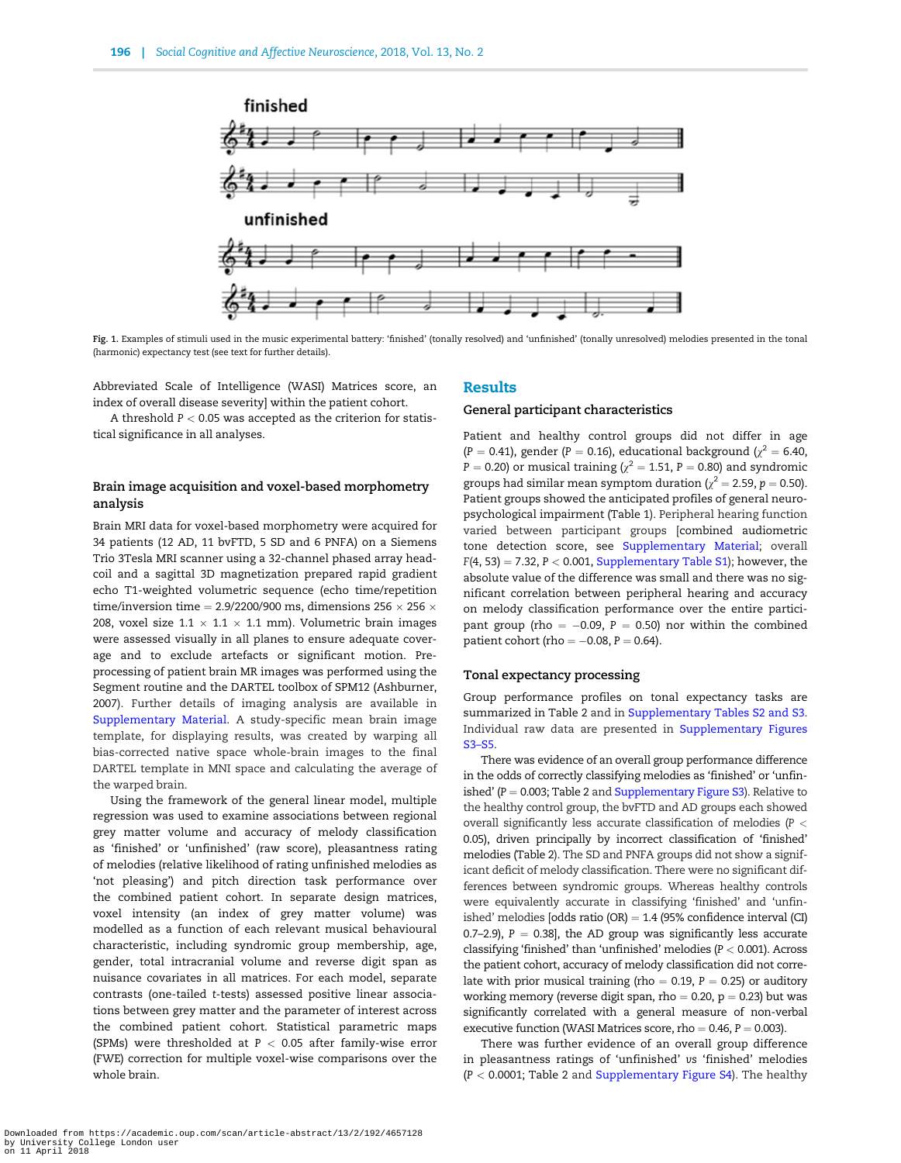<span id="page-4-0"></span>

Fig. 1. Examples of stimuli used in the music experimental battery: 'finished' (tonally resolved) and 'unfinished' (tonally unresolved) melodies presented in the tonal (harmonic) expectancy test (see text for further details).

Abbreviated Scale of Intelligence (WASI) Matrices score, an index of overall disease severity] within the patient cohort.

A threshold  $P < 0.05$  was accepted as the criterion for statistical significance in all analyses.

## Brain image acquisition and voxel-based morphometry analysis

Brain MRI data for voxel-based morphometry were acquired for 34 patients (12 AD, 11 bvFTD, 5 SD and 6 PNFA) on a Siemens Trio 3Tesla MRI scanner using a 32-channel phased array headcoil and a sagittal 3D magnetization prepared rapid gradient echo T1-weighted volumetric sequence (echo time/repetition time/inversion time = 2.9/2200/900 ms, dimensions 256  $\times$  256  $\times$ 208, voxel size  $1.1 \times 1.1 \times 1.1$  mm). Volumetric brain images were assessed visually in all planes to ensure adequate coverage and to exclude artefacts or significant motion. Preprocessing of patient brain MR images was performed using the Segment routine and the DARTEL toolbox of SPM12 [\(Ashburner,](#page-8-0) [2007\)](#page-8-0). Further details of imaging analysis are available in [Supplementary Material](https://academic.oup.com/scan/article-lookup/doi/10.1093/scan/nsx140#supplementary-data). A study-specific mean brain image template, for displaying results, was created by warping all bias-corrected native space whole-brain images to the final DARTEL template in MNI space and calculating the average of the warped brain.

Using the framework of the general linear model, multiple regression was used to examine associations between regional grey matter volume and accuracy of melody classification as 'finished' or 'unfinished' (raw score), pleasantness rating of melodies (relative likelihood of rating unfinished melodies as 'not pleasing') and pitch direction task performance over the combined patient cohort. In separate design matrices, voxel intensity (an index of grey matter volume) was modelled as a function of each relevant musical behavioural characteristic, including syndromic group membership, age, gender, total intracranial volume and reverse digit span as nuisance covariates in all matrices. For each model, separate contrasts (one-tailed t-tests) assessed positive linear associations between grey matter and the parameter of interest across the combined patient cohort. Statistical parametric maps (SPMs) were thresholded at  $P < 0.05$  after family-wise error (FWE) correction for multiple voxel-wise comparisons over the whole brain.

#### Results

### General participant characteristics

Patient and healthy control groups did not differ in age (P = 0.41), gender (P = 0.16), educational background ( $\chi^2$  = 6.40,  $P = 0.20$ ) or musical training ( $\chi^2 = 1.51$ ,  $P = 0.80$ ) and syndromic groups had similar mean symptom duration ( $\gamma^2 = 2.59$ , p = 0.50). Patient groups showed the anticipated profiles of general neuropsychological impairment [\(Table 1\)](#page-3-0). Peripheral hearing function varied between participant groups [combined audiometric tone detection score, see [Supplementary Material](https://academic.oup.com/scan/article-lookup/doi/10.1093/scan/nsx140#supplementary-data); overall  $F(4, 53) = 7.32$ ,  $P < 0.001$ , [Supplementary Table S1\)](https://academic.oup.com/scan/article-lookup/doi/10.1093/scan/nsx140#supplementary-data); however, the absolute value of the difference was small and there was no significant correlation between peripheral hearing and accuracy on melody classification performance over the entire participant group (rho  $= -0.09$ , P  $= 0.50$ ) nor within the combined patient cohort (rho  $= -0.08$ ,  $P = 0.64$ ).

#### Tonal expectancy processing

Group performance profiles on tonal expectancy tasks are summarized in [Table 2](#page-5-0) and in [Supplementary Tables S2 and S3](https://academic.oup.com/scan/article-lookup/doi/10.1093/scan/nsx140#supplementary-data). Individual raw data are presented in [Supplementary Figures](https://academic.oup.com/scan/article-lookup/doi/10.1093/scan/nsx140#supplementary-data) [S3–S5.](https://academic.oup.com/scan/article-lookup/doi/10.1093/scan/nsx140#supplementary-data)

There was evidence of an overall group performance difference in the odds of correctly classifying melodies as 'finished' or 'unfinished' ( $P = 0.003$ ; [Table 2](#page-5-0) and [Supplementary Figure S3](https://academic.oup.com/scan/article-lookup/doi/10.1093/scan/nsx140#supplementary-data)). Relative to the healthy control group, the bvFTD and AD groups each showed overall significantly less accurate classification of melodies (P < 0.05), driven principally by incorrect classification of 'finished' melodies [\(Table 2\)](#page-5-0). The SD and PNFA groups did not show a significant deficit of melody classification. There were no significant differences between syndromic groups. Whereas healthy controls were equivalently accurate in classifying 'finished' and 'unfinished' melodies [odds ratio (OR)  $=$  1.4 (95% confidence interval (CI) 0.7–2.9),  $P = 0.38$ ], the AD group was significantly less accurate classifying 'finished' than 'unfinished' melodies (P < 0.001). Across the patient cohort, accuracy of melody classification did not correlate with prior musical training (rho  $= 0.19$ ,  $P = 0.25$ ) or auditory working memory (reverse digit span, rho  $= 0.20$ , p  $= 0.23$ ) but was significantly correlated with a general measure of non-verbal executive function (WASI Matrices score, rho =  $0.46$ ,  $P = 0.003$ ).

There was further evidence of an overall group difference in pleasantness ratings of 'unfinished' vs 'finished' melodies  $(P < 0.0001$ ; [Table 2](#page-5-0) and [Supplementary Figure S4\)](https://academic.oup.com/scan/article-lookup/doi/10.1093/scan/nsx140#supplementary-data). The healthy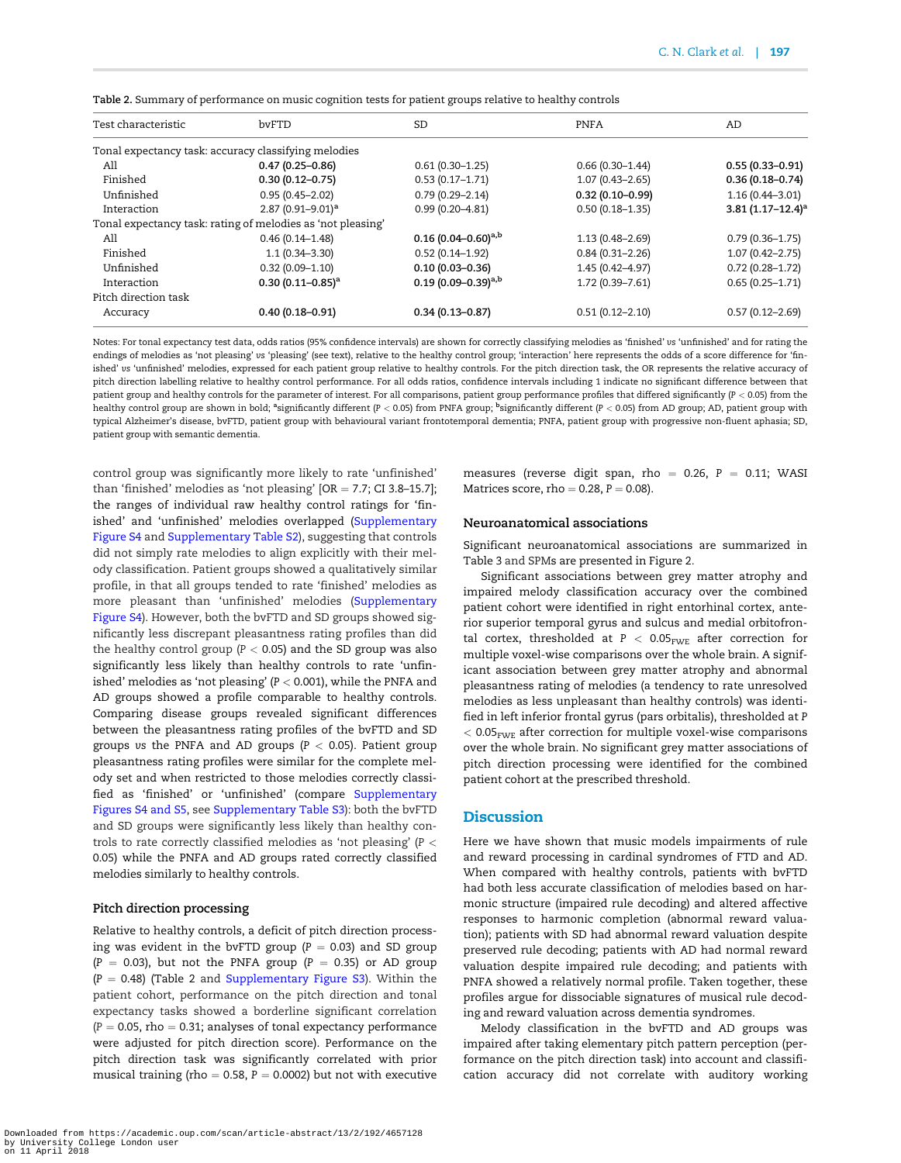| Test characteristic  | byFTD                                                       | <b>SD</b>                 | <b>PNFA</b>         | AD                      |
|----------------------|-------------------------------------------------------------|---------------------------|---------------------|-------------------------|
|                      | Tonal expectancy task: accuracy classifying melodies        |                           |                     |                         |
| All                  | $0.47(0.25 - 0.86)$                                         | $0.61(0.30 - 1.25)$       | $0.66(0.30-1.44)$   | $0.55(0.33 - 0.91)$     |
| Finished             | $0.30(0.12 - 0.75)$                                         | $0.53(0.17 - 1.71)$       | $1.07(0.43 - 2.65)$ | $0.36(0.18 - 0.74)$     |
| Unfinished           | $0.95(0.45 - 2.02)$                                         | $0.79(0.29 - 2.14)$       | $0.32(0.10 - 0.99)$ | $1.16(0.44 - 3.01)$     |
| Interaction          | 2.87 $(0.91 - 9.01)^a$                                      | $0.99(0.20 - 4.81)$       | $0.50(0.18 - 1.35)$ | $3.81(1.17 - 12.4)^{3}$ |
|                      | Tonal expectancy task: rating of melodies as 'not pleasing' |                           |                     |                         |
| All                  | $0.46(0.14 - 1.48)$                                         | $0.16(0.04 - 0.60)^{a,b}$ | $1.13(0.48 - 2.69)$ | $0.79(0.36 - 1.75)$     |
| Finished             | $1.1(0.34 - 3.30)$                                          | $0.52(0.14 - 1.92)$       | $0.84(0.31 - 2.26)$ | $1.07(0.42 - 2.75)$     |
| Unfinished           | $0.32(0.09 - 1.10)$                                         | $0.10(0.03 - 0.36)$       | 1.45 (0.42-4.97)    | $0.72(0.28 - 1.72)$     |
| Interaction          | $0.30(0.11 - 0.85)^a$                                       | 0.19 $(0.09-0.39)^{a,b}$  | $1.72(0.39 - 7.61)$ | $0.65(0.25 - 1.71)$     |
| Pitch direction task |                                                             |                           |                     |                         |
| Accuracy             | $0.40(0.18 - 0.91)$                                         | $0.34(0.13 - 0.87)$       | $0.51(0.12 - 2.10)$ | $0.57(0.12 - 2.69)$     |
|                      |                                                             |                           |                     |                         |

<span id="page-5-0"></span>Table 2. Summary of performance on music cognition tests for patient groups relative to healthy controls

Notes: For tonal expectancy test data, odds ratios (95% confidence intervals) are shown for correctly classifying melodies as 'finished' vs 'unfinished' and for rating the endings of melodies as 'not pleasing' vs 'pleasing' (see text), relative to the healthy control group; 'interaction' here represents the odds of a score difference for 'finished' vs 'unfinished' melodies, expressed for each patient group relative to healthy controls. For the pitch direction task, the OR represents the relative accuracy of pitch direction labelling relative to healthy control performance. For all odds ratios, confidence intervals including 1 indicate no significant difference between that patient group and healthy controls for the parameter of interest. For all comparisons, patient group performance profiles that differed significantly (P < 0.05) from the healthy control group are shown in bold; <sup>a</sup>significantly different (P < 0.05) from PNFA group; <sup>b</sup>significantly different (P < 0.05) from AD group; AD, patient group with typical Alzheimer's disease, bvFTD, patient group with behavioural variant frontotemporal dementia; PNFA, patient group with progressive non-fluent aphasia; SD, patient group with semantic dementia.

control group was significantly more likely to rate 'unfinished' than 'finished' melodies as 'not pleasing'  $[OR = 7.7; CI 3.8-15.7]$ ; the ranges of individual raw healthy control ratings for 'fin-ished' and 'unfinished' melodies overlapped ([Supplementary](https://academic.oup.com/scan/article-lookup/doi/10.1093/scan/nsx140#supplementary-data) [Figure S4](https://academic.oup.com/scan/article-lookup/doi/10.1093/scan/nsx140#supplementary-data) and [Supplementary Table S2\)](https://academic.oup.com/scan/article-lookup/doi/10.1093/scan/nsx140#supplementary-data), suggesting that controls did not simply rate melodies to align explicitly with their melody classification. Patient groups showed a qualitatively similar profile, in that all groups tended to rate 'finished' melodies as more pleasant than 'unfinished' melodies ([Supplementary](https://academic.oup.com/scan/article-lookup/doi/10.1093/scan/nsx140#supplementary-data) [Figure S4](https://academic.oup.com/scan/article-lookup/doi/10.1093/scan/nsx140#supplementary-data)). However, both the bvFTD and SD groups showed significantly less discrepant pleasantness rating profiles than did the healthy control group ( $P < 0.05$ ) and the SD group was also significantly less likely than healthy controls to rate 'unfinished' melodies as 'not pleasing' ( $P < 0.001$ ), while the PNFA and AD groups showed a profile comparable to healthy controls. Comparing disease groups revealed significant differences between the pleasantness rating profiles of the bvFTD and SD groups vs the PNFA and AD groups ( $P < 0.05$ ). Patient group pleasantness rating profiles were similar for the complete melody set and when restricted to those melodies correctly classified as 'finished' or 'unfinished' (compare [Supplementary](https://academic.oup.com/scan/article-lookup/doi/10.1093/scan/nsx140#supplementary-data) [Figures S4 and S5,](https://academic.oup.com/scan/article-lookup/doi/10.1093/scan/nsx140#supplementary-data) see [Supplementary Table S3](https://academic.oup.com/scan/article-lookup/doi/10.1093/scan/nsx140#supplementary-data)): both the bvFTD and SD groups were significantly less likely than healthy controls to rate correctly classified melodies as 'not pleasing' ( $P <$ 0.05) while the PNFA and AD groups rated correctly classified melodies similarly to healthy controls.

#### Pitch direction processing

Relative to healthy controls, a deficit of pitch direction processing was evident in the bvFTD group ( $P = 0.03$ ) and SD group  $(P = 0.03)$ , but not the PNFA group  $(P = 0.35)$  or AD group  $(P = 0.48)$  (Table 2 and [Supplementary Figure S3](https://academic.oup.com/scan/article-lookup/doi/10.1093/scan/nsx140#supplementary-data)). Within the patient cohort, performance on the pitch direction and tonal expectancy tasks showed a borderline significant correlation  $(P = 0.05,$  rho = 0.31; analyses of tonal expectancy performance were adjusted for pitch direction score). Performance on the pitch direction task was significantly correlated with prior musical training (rho = 0.58,  $P = 0.0002$ ) but not with executive measures (reverse digit span, rho = 0.26,  $P = 0.11$ ; WASI Matrices score, rho  $= 0.28$ ,  $P = 0.08$ ).

#### Neuroanatomical associations

Significant neuroanatomical associations are summarized in [Table 3](#page-6-0) and SPMs are presented in [Figure 2](#page-6-0).

Significant associations between grey matter atrophy and impaired melody classification accuracy over the combined patient cohort were identified in right entorhinal cortex, anterior superior temporal gyrus and sulcus and medial orbitofrontal cortex, thresholded at  $P < 0.05_{\text{FWE}}$  after correction for multiple voxel-wise comparisons over the whole brain. A significant association between grey matter atrophy and abnormal pleasantness rating of melodies (a tendency to rate unresolved melodies as less unpleasant than healthy controls) was identified in left inferior frontal gyrus (pars orbitalis), thresholded at P  $< 0.05$ <sub>FWE</sub> after correction for multiple voxel-wise comparisons over the whole brain. No significant grey matter associations of pitch direction processing were identified for the combined patient cohort at the prescribed threshold.

## **Discussion**

Here we have shown that music models impairments of rule and reward processing in cardinal syndromes of FTD and AD. When compared with healthy controls, patients with bvFTD had both less accurate classification of melodies based on harmonic structure (impaired rule decoding) and altered affective responses to harmonic completion (abnormal reward valuation); patients with SD had abnormal reward valuation despite preserved rule decoding; patients with AD had normal reward valuation despite impaired rule decoding; and patients with PNFA showed a relatively normal profile. Taken together, these profiles argue for dissociable signatures of musical rule decoding and reward valuation across dementia syndromes.

Melody classification in the bvFTD and AD groups was impaired after taking elementary pitch pattern perception (performance on the pitch direction task) into account and classification accuracy did not correlate with auditory working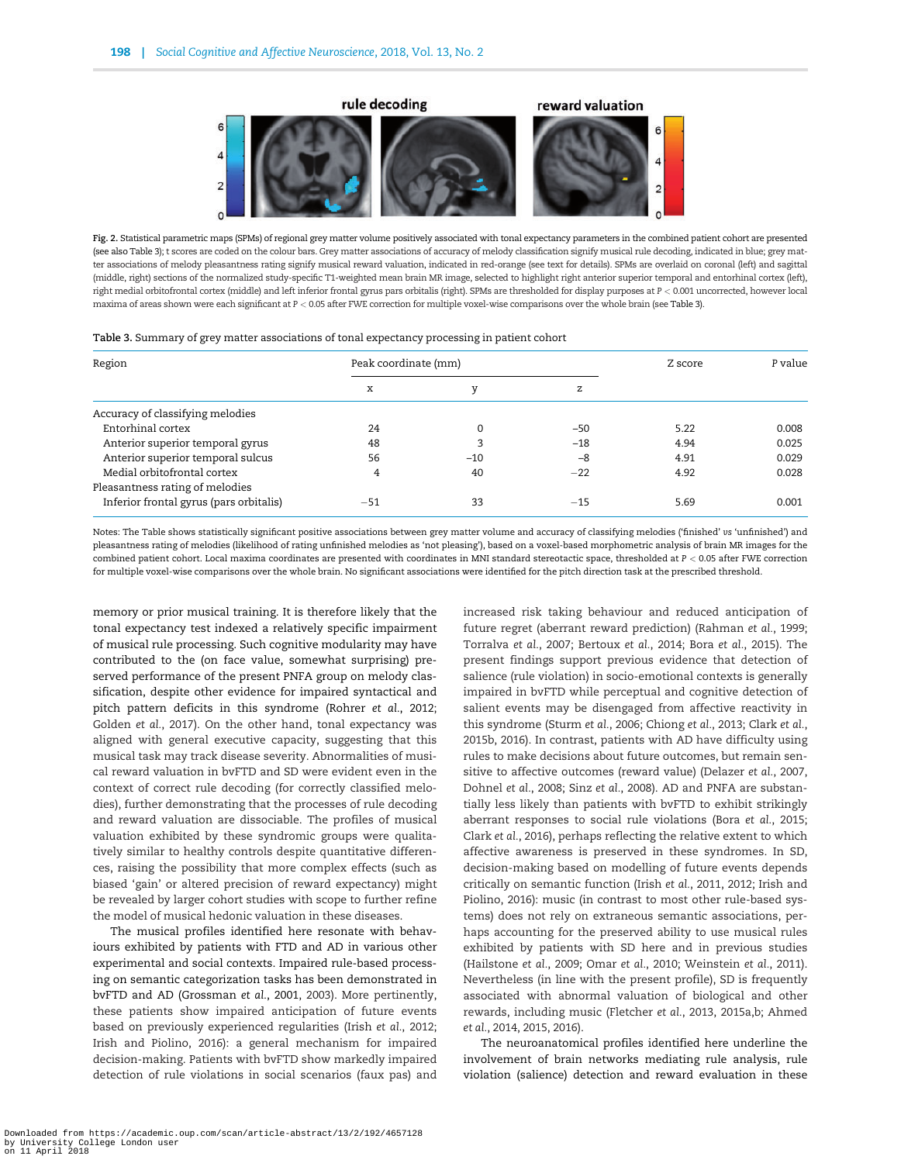<span id="page-6-0"></span>

Fig. 2. Statistical parametric maps (SPMs) of regional grey matter volume positively associated with tonal expectancy parameters in the combined patient cohort are presented (see also Table 3); t scores are coded on the colour bars. Grey matter associations of accuracy of melody classification signify musical rule decoding, indicated in blue; grey matter associations of melody pleasantness rating signify musical reward valuation, indicated in red-orange (see text for details). SPMs are overlaid on coronal (left) and sagittal (middle, right) sections of the normalized study-specific T1-weighted mean brain MR image, selected to highlight right anterior superior temporal and entorhinal cortex (left), right medial orbitofrontal cortex (middle) and left inferior frontal gyrus pars orbitalis (right). SPMs are thresholded for display purposes at P < 0.001 uncorrected, however local maxima of areas shown were each significant at P < 0.05 after FWE correction for multiple voxel-wise comparisons over the whole brain (see Table 3).

| Table 3. Summary of grey matter associations of tonal expectancy processing in patient cohort |  |  |  |  |
|-----------------------------------------------------------------------------------------------|--|--|--|--|
|                                                                                               |  |  |  |  |

| Region                                  | Peak coordinate (mm) |       |       | Z score | P value |
|-----------------------------------------|----------------------|-------|-------|---------|---------|
|                                         | x                    |       | z     |         |         |
| Accuracy of classifying melodies        |                      |       |       |         |         |
| Entorhinal cortex                       | 24                   | 0     | $-50$ | 5.22    | 0.008   |
| Anterior superior temporal gyrus        | 48                   | 3     | $-18$ | 4.94    | 0.025   |
| Anterior superior temporal sulcus       | 56                   | $-10$ | $-8$  | 4.91    | 0.029   |
| Medial orbitofrontal cortex             | 4                    | 40    | $-22$ | 4.92    | 0.028   |
| Pleasantness rating of melodies         |                      |       |       |         |         |
| Inferior frontal gyrus (pars orbitalis) | $-51$                | 33    | $-15$ | 5.69    | 0.001   |

Notes: The Table shows statistically significant positive associations between grey matter volume and accuracy of classifying melodies ('finished' vs 'unfinished') and pleasantness rating of melodies (likelihood of rating unfinished melodies as 'not pleasing'), based on a voxel-based morphometric analysis of brain MR images for the combined patient cohort. Local maxima coordinates are presented with coordinates in MNI standard stereotactic space, thresholded at P < 0.05 after FWE correction for multiple voxel-wise comparisons over the whole brain. No significant associations were identified for the pitch direction task at the prescribed threshold.

memory or prior musical training. It is therefore likely that the tonal expectancy test indexed a relatively specific impairment of musical rule processing. Such cognitive modularity may have contributed to the (on face value, somewhat surprising) preserved performance of the present PNFA group on melody classification, despite other evidence for impaired syntactical and pitch pattern deficits in this syndrome ([Rohrer](#page-10-0) et al., 2012; [Golden](#page-8-0) et al., 2017). On the other hand, tonal expectancy was aligned with general executive capacity, suggesting that this musical task may track disease severity. Abnormalities of musical reward valuation in bvFTD and SD were evident even in the context of correct rule decoding (for correctly classified melodies), further demonstrating that the processes of rule decoding and reward valuation are dissociable. The profiles of musical valuation exhibited by these syndromic groups were qualitatively similar to healthy controls despite quantitative differences, raising the possibility that more complex effects (such as biased 'gain' or altered precision of reward expectancy) might be revealed by larger cohort studies with scope to further refine the model of musical hedonic valuation in these diseases.

The musical profiles identified here resonate with behaviours exhibited by patients with FTD and AD in various other experimental and social contexts. Impaired rule-based processing on semantic categorization tasks has been demonstrated in bvFTD and AD ([Grossman](#page-8-0) et al., 2001, [2003\)](#page-9-0). More pertinently, these patients show impaired anticipation of future events based on previously experienced regularities (Irish et al.[, 2012](#page-9-0); [Irish and Piolino, 2016](#page-9-0)): a general mechanism for impaired decision-making. Patients with bvFTD show markedly impaired detection of rule violations in social scenarios (faux pas) and increased risk taking behaviour and reduced anticipation of future regret (aberrant reward prediction) ([Rahman](#page-9-0) et al., 1999; [Torralva](#page-10-0) et al., 2007; [Bertoux](#page-8-0) et al., 2014; Bora et al.[, 2015\)](#page-8-0). The present findings support previous evidence that detection of salience (rule violation) in socio-emotional contexts is generally impaired in bvFTD while perceptual and cognitive detection of salient events may be disengaged from affective reactivity in this syndrome ([Sturm](#page-10-0) et al., 2006; [Chiong](#page-8-0) et al., 2013; [Clark](#page-8-0) et al., [2015b, 2016](#page-8-0)). In contrast, patients with AD have difficulty using rules to make decisions about future outcomes, but remain sensitive to affective outcomes (reward value) ([Delazer](#page-8-0) et al., 200[7,](#page-8-0) [Dohnel](#page-8-0) et al., 2008; Sinz et al.[, 2008](#page-10-0)). AD and PNFA are substantially less likely than patients with bvFTD to exhibit strikingly aberrant responses to social rule violations (Bora et al.[, 2015](#page-8-0); Clark et al.[, 2016](#page-8-0)), perhaps reflecting the relative extent to which affective awareness is preserved in these syndromes. In SD, decision-making based on modelling of future events depends critically on semantic function (Irish et al.[, 2011](#page-9-0), [2012](#page-9-0); [Irish and](#page-9-0) [Piolino, 2016\)](#page-9-0): music (in contrast to most other rule-based systems) does not rely on extraneous semantic associations, perhaps accounting for the preserved ability to use musical rules exhibited by patients with SD here and in previous studies [\(Hailstone](#page-9-0) et al., 2009; Omar et al.[, 2010;](#page-9-0) [Weinstein](#page-10-0) et al., 2011). Nevertheless (in line with the present profile), SD is frequently associated with abnormal valuation of biological and other rewards, including music [\(Fletcher](#page-8-0) et al., 2013, [2015a,b](#page-8-0); [Ahmed](#page-8-0) et al.[, 2014, 2015, 2016\)](#page-8-0).

The neuroanatomical profiles identified here underline the involvement of brain networks mediating rule analysis, rule violation (salience) detection and reward evaluation in these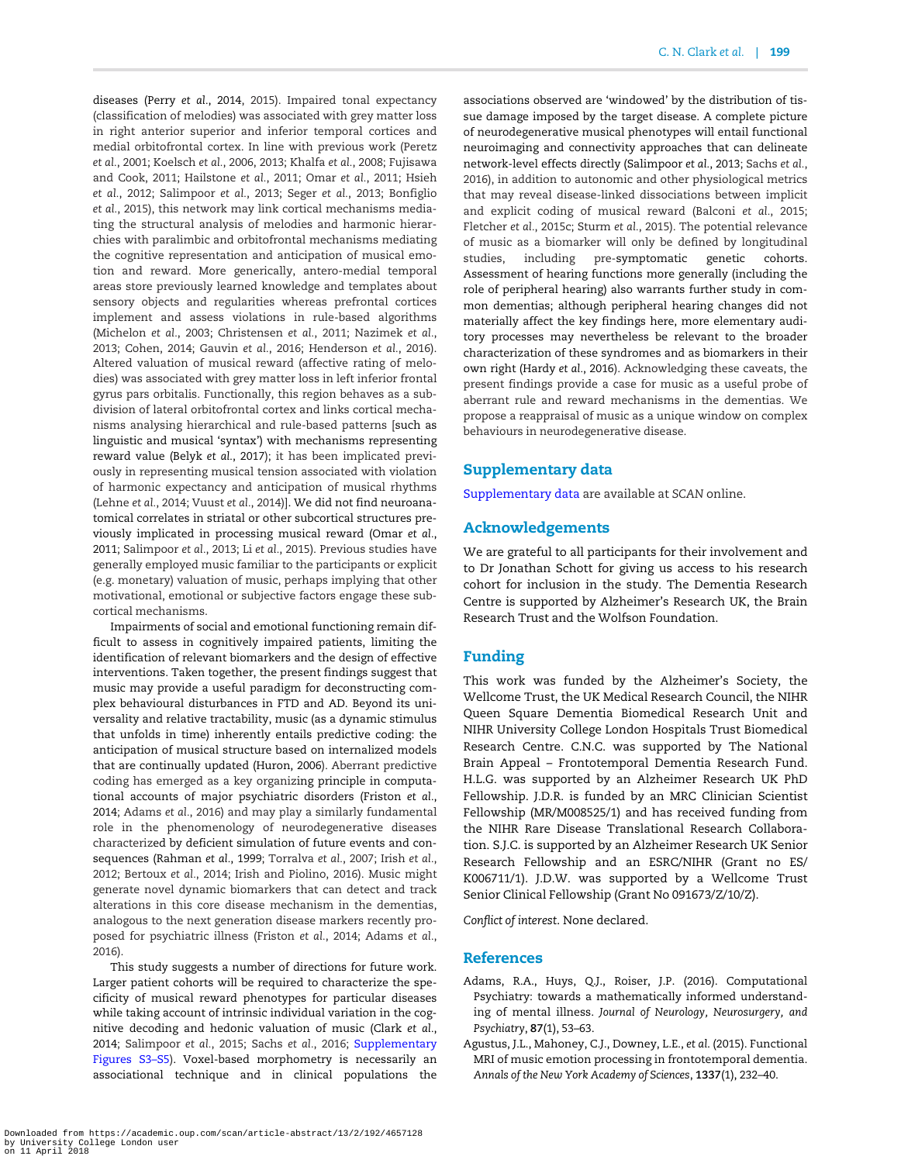<span id="page-7-0"></span>diseases (Perry et al.[, 2014](#page-9-0), [2015\)](#page-9-0). Impaired tonal expectancy (classification of melodies) was associated with grey matter loss in right anterior superior and inferior temporal cortices and medial orbitofrontal cortex. In line with previous work ([Peretz](#page-9-0) et al.[, 2001](#page-9-0); [Koelsch](#page-9-0) et al., 2006, [2013](#page-9-0); [Khalfa](#page-9-0) et al., 2008; [Fujisawa](#page-8-0) [and Cook, 2011](#page-8-0); [Hailstone](#page-9-0) et al., 2011; Omar et al.[, 2011; Hsieh](#page-9-0) et al.[, 2012](#page-9-0); [Salimpoor](#page-10-0) et al., 2013; Seger et al.[, 2013;](#page-10-0) [Bonfiglio](#page-8-0) et al.[, 2015\)](#page-8-0), this network may link cortical mechanisms mediating the structural analysis of melodies and harmonic hierarchies with paralimbic and orbitofrontal mechanisms mediating the cognitive representation and anticipation of musical emotion and reward. More generically, antero-medial temporal areas store previously learned knowledge and templates about sensory objects and regularities whereas prefrontal cortices implement and assess violations in rule-based algorithms [\(Michelon](#page-9-0) et al., 2003; [Christensen](#page-8-0) et al., 2011; [Nazimek](#page-9-0) et al., [2013;](#page-9-0) [Cohen, 2014; Gauvin](#page-8-0) et al., 2016; [Henderson](#page-9-0) et al., 2016). Altered valuation of musical reward (affective rating of melodies) was associated with grey matter loss in left inferior frontal gyrus pars orbitalis. Functionally, this region behaves as a subdivision of lateral orbitofrontal cortex and links cortical mechanisms analysing hierarchical and rule-based patterns [such as linguistic and musical 'syntax') with mechanisms representing reward value (Belyk et al.[, 2017\)](#page-8-0); it has been implicated previously in representing musical tension associated with violation of harmonic expectancy and anticipation of musical rhythms [\(Lehne](#page-9-0) et al., 2014; [Vuust](#page-10-0) et al., 2014)]. We did not find neuroanatomical correlates in striatal or other subcortical structures previously implicated in processing musical reward [\(Omar](#page-9-0) et al., [2011;](#page-9-0) [Salimpoor](#page-10-0) et al., 2013; Li et al.[, 2015\)](#page-9-0). Previous studies have generally employed music familiar to the participants or explicit (e.g. monetary) valuation of music, perhaps implying that other motivational, emotional or subjective factors engage these subcortical mechanisms.

Impairments of social and emotional functioning remain difficult to assess in cognitively impaired patients, limiting the identification of relevant biomarkers and the design of effective interventions. Taken together, the present findings suggest that music may provide a useful paradigm for deconstructing complex behavioural disturbances in FTD and AD. Beyond its universality and relative tractability, music (as a dynamic stimulus that unfolds in time) inherently entails predictive coding: the anticipation of musical structure based on internalized models that are continually updated [\(Huron, 2006\)](#page-9-0). Aberrant predictive coding has emerged as a key organizing principle in computational accounts of major psychiatric disorders [\(Friston](#page-8-0) et al., [2014;](#page-8-0) Adams et al., 2016) and may play a similarly fundamental role in the phenomenology of neurodegenerative diseases characterized by deficient simulation of future events and consequences [\(Rahman](#page-9-0) et al., 1999; [Torralva](#page-10-0) et al., 2007; Irish [et al.](#page-9-0), [2012;](#page-9-0) [Bertoux](#page-8-0) et al., 2014; [Irish and Piolino, 2016](#page-9-0)). Music might generate novel dynamic biomarkers that can detect and track alterations in this core disease mechanism in the dementias, analogous to the next generation disease markers recently proposed for psychiatric illness ([Friston](#page-8-0) et al., 2014; Adams et al., 2016).

This study suggests a number of directions for future work. Larger patient cohorts will be required to characterize the specificity of musical reward phenotypes for particular diseases while taking account of intrinsic individual variation in the cognitive decoding and hedonic valuation of music [\(Clark](#page-8-0) et al., [2014;](#page-8-0) [Salimpoor](#page-10-0) et al., 2015; Sachs et al.[, 2016](#page-10-0); [Supplementary](https://academic.oup.com/scan/article-lookup/doi/10.1093/scan/nsx140#supplementary-data) [Figures S3–S5](https://academic.oup.com/scan/article-lookup/doi/10.1093/scan/nsx140#supplementary-data)). Voxel-based morphometry is necessarily an associational technique and in clinical populations the associations observed are 'windowed' by the distribution of tissue damage imposed by the target disease. A complete picture of neurodegenerative musical phenotypes will entail functional neuroimaging and connectivity approaches that can delineate network-level effects directly ([Salimpoor](#page-10-0) et al., 2013; [Sachs](#page-10-0) et al., [2016\)](#page-10-0), in addition to autonomic and other physiological metrics that may reveal disease-linked dissociations between implicit and explicit coding of musical reward [\(Balconi](#page-8-0) et al., 2015; [Fletcher](#page-8-0) et al., 2015c; [Sturm](#page-10-0) et al., 2015). The potential relevance of music as a biomarker will only be defined by longitudinal studies, including pre-symptomatic genetic cohorts. Assessment of hearing functions more generally (including the role of peripheral hearing) also warrants further study in common dementias; although peripheral hearing changes did not materially affect the key findings here, more elementary auditory processes may nevertheless be relevant to the broader characterization of these syndromes and as biomarkers in their own right ([Hardy](#page-9-0) et al., 2016). Acknowledging these caveats, the present findings provide a case for music as a useful probe of aberrant rule and reward mechanisms in the dementias. We propose a reappraisal of music as a unique window on complex behaviours in neurodegenerative disease.

# Supplementary data

[Supplementary data](https://academic.oup.com/scan/article-lookup/doi/10.1093/scan/nsx140#supplementary-data) are available at SCAN online.

# Acknowledgements

We are grateful to all participants for their involvement and to Dr Jonathan Schott for giving us access to his research cohort for inclusion in the study. The Dementia Research Centre is supported by Alzheimer's Research UK, the Brain Research Trust and the Wolfson Foundation.

## Funding

This work was funded by the Alzheimer's Society, the Wellcome Trust, the UK Medical Research Council, the NIHR Queen Square Dementia Biomedical Research Unit and NIHR University College London Hospitals Trust Biomedical Research Centre. C.N.C. was supported by The National Brain Appeal – Frontotemporal Dementia Research Fund. H.L.G. was supported by an Alzheimer Research UK PhD Fellowship. J.D.R. is funded by an MRC Clinician Scientist Fellowship (MR/M008525/1) and has received funding from the NIHR Rare Disease Translational Research Collaboration. S.J.C. is supported by an Alzheimer Research UK Senior Research Fellowship and an ESRC/NIHR (Grant no ES/ K006711/1). J.D.W. was supported by a Wellcome Trust Senior Clinical Fellowship (Grant No 091673/Z/10/Z).

Conflict of interest. None declared.

#### References

- Adams, R.A., Huys, Q.J., Roiser, J.P. (2016). Computational Psychiatry: towards a mathematically informed understanding of mental illness. Journal of Neurology, Neurosurgery, and Psychiatry, 87(1), 53–63.
- Agustus, J.L., Mahoney, C.J., Downey, L.E., et al. (2015). Functional MRI of music emotion processing in frontotemporal dementia. Annals of the New York Academy of Sciences, 1337(1), 232–40.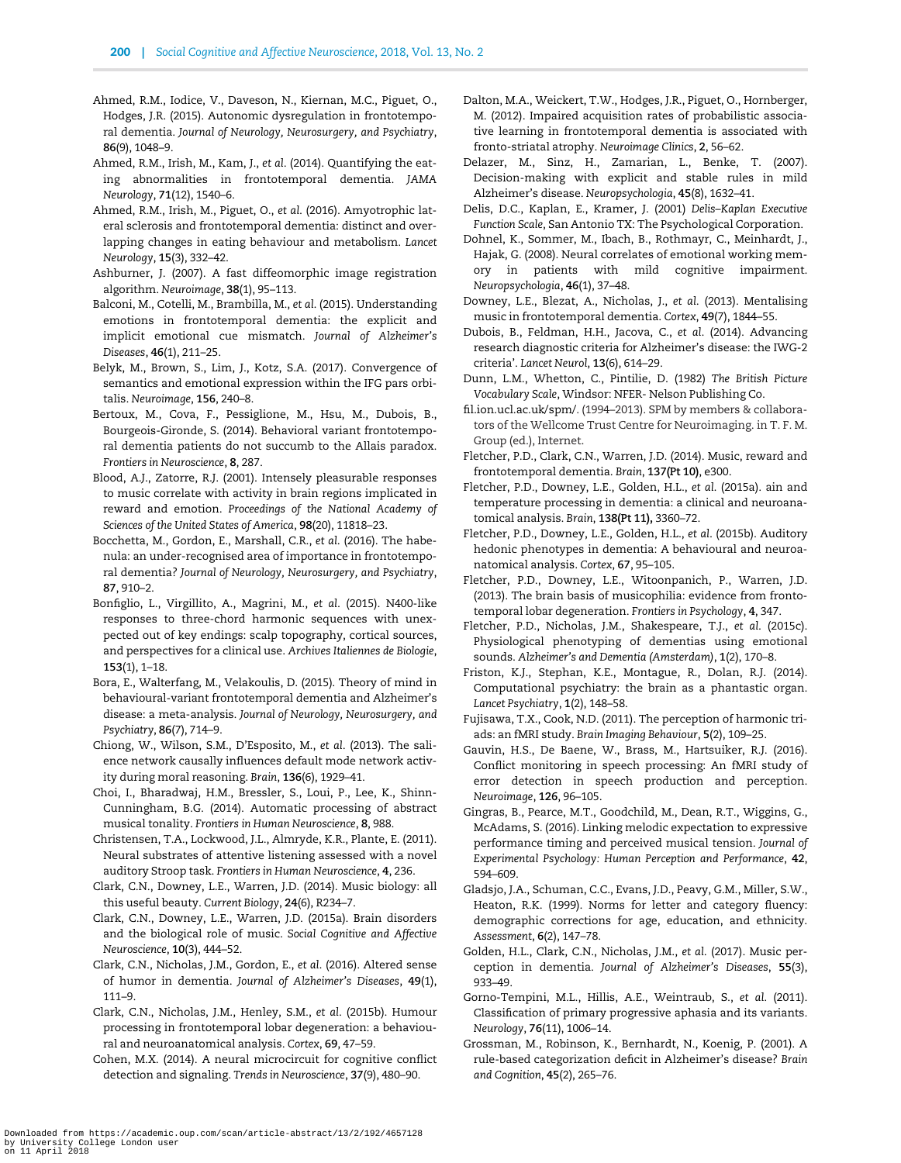- <span id="page-8-0"></span>Ahmed, R.M., Iodice, V., Daveson, N., Kiernan, M.C., Piguet, O., Hodges, J.R. (2015). Autonomic dysregulation in frontotemporal dementia. Journal of Neurology, Neurosurgery, and Psychiatry, 86(9), 1048–9.
- Ahmed, R.M., Irish, M., Kam, J., et al. (2014). Quantifying the eating abnormalities in frontotemporal dementia. JAMA Neurology, 71(12), 1540–6.
- Ahmed, R.M., Irish, M., Piguet, O., et al. (2016). Amyotrophic lateral sclerosis and frontotemporal dementia: distinct and overlapping changes in eating behaviour and metabolism. Lancet Neurology, 15(3), 332–42.
- Ashburner, J. (2007). A fast diffeomorphic image registration algorithm. Neuroimage, 38(1), 95–113.
- Balconi, M., Cotelli, M., Brambilla, M., et al. (2015). Understanding emotions in frontotemporal dementia: the explicit and implicit emotional cue mismatch. Journal of Alzheimer's Diseases, 46(1), 211–25.

Belyk, M., Brown, S., Lim, J., Kotz, S.A. (2017). Convergence of semantics and emotional expression within the IFG pars orbitalis. Neuroimage, 156, 240–8.

- Bertoux, M., Cova, F., Pessiglione, M., Hsu, M., Dubois, B., Bourgeois-Gironde, S. (2014). Behavioral variant frontotemporal dementia patients do not succumb to the Allais paradox. Frontiers in Neuroscience, 8, 287.
- Blood, A.J., Zatorre, R.J. (2001). Intensely pleasurable responses to music correlate with activity in brain regions implicated in reward and emotion. Proceedings of the National Academy of Sciences of the United States of America, 98(20), 11818–23.

Bocchetta, M., Gordon, E., Marshall, C.R., et al. (2016). The habenula: an under-recognised area of importance in frontotemporal dementia? Journal of Neurology, Neurosurgery, and Psychiatry, 87, 910–2.

- Bonfiglio, L., Virgillito, A., Magrini, M., et al. (2015). N400-like responses to three-chord harmonic sequences with unexpected out of key endings: scalp topography, cortical sources, and perspectives for a clinical use. Archives Italiennes de Biologie, 153(1), 1–18.
- Bora, E., Walterfang, M., Velakoulis, D. (2015). Theory of mind in behavioural-variant frontotemporal dementia and Alzheimer's disease: a meta-analysis. Journal of Neurology, Neurosurgery, and Psychiatry, 86(7), 714–9.
- Chiong, W., Wilson, S.M., D'Esposito, M., et al. (2013). The salience network causally influences default mode network activity during moral reasoning. Brain, 136(6), 1929–41.
- Choi, I., Bharadwaj, H.M., Bressler, S., Loui, P., Lee, K., Shinn-Cunningham, B.G. (2014). Automatic processing of abstract musical tonality. Frontiers in Human Neuroscience, 8, 988.

Christensen, T.A., Lockwood, J.L., Almryde, K.R., Plante, E. (2011). Neural substrates of attentive listening assessed with a novel auditory Stroop task. Frontiers in Human Neuroscience, 4, 236.

Clark, C.N., Downey, L.E., Warren, J.D. (2014). Music biology: all this useful beauty. Current Biology, 24(6), R234–7.

Clark, C.N., Downey, L.E., Warren, J.D. (2015a). Brain disorders and the biological role of music. Social Cognitive and Affective Neuroscience, 10(3), 444–52.

Clark, C.N., Nicholas, J.M., Gordon, E., et al. (2016). Altered sense of humor in dementia. Journal of Alzheimer's Diseases, 49(1), 111–9.

Clark, C.N., Nicholas, J.M., Henley, S.M., et al. (2015b). Humour processing in frontotemporal lobar degeneration: a behavioural and neuroanatomical analysis. Cortex, 69, 47–59.

Cohen, M.X. (2014). A neural microcircuit for cognitive conflict detection and signaling. Trends in Neuroscience, 37(9), 480–90.

- Dalton, M.A., Weickert, T.W., Hodges, J.R., Piguet, O., Hornberger, M. (2012). Impaired acquisition rates of probabilistic associative learning in frontotemporal dementia is associated with fronto-striatal atrophy. Neuroimage Clinics, 2, 56–62.
- Delazer, M., Sinz, H., Zamarian, L., Benke, T. (2007). Decision-making with explicit and stable rules in mild Alzheimer's disease. Neuropsychologia, 45(8), 1632–41.
- Delis, D.C., Kaplan, E., Kramer, J. (2001) Delis–Kaplan Executive Function Scale, San Antonio TX: The Psychological Corporation.
- Dohnel, K., Sommer, M., Ibach, B., Rothmayr, C., Meinhardt, J., Hajak, G. (2008). Neural correlates of emotional working memory in patients with mild cognitive impairment. Neuropsychologia, 46(1), 37–48.
- Downey, L.E., Blezat, A., Nicholas, J., et al. (2013). Mentalising music in frontotemporal dementia. Cortex, 49(7), 1844–55.
- Dubois, B., Feldman, H.H., Jacova, C., et al. (2014). Advancing research diagnostic criteria for Alzheimer's disease: the IWG-2 criteria'. Lancet Neurol, 13(6), 614–29.
- Dunn, L.M., Whetton, C., Pintilie, D. (1982) The British Picture Vocabulary Scale, Windsor: NFER- Nelson Publishing Co.
- [fil.ion.ucl.ac.uk/spm/.](http://fil.ion.ucl.ac.uk/spm/) (1994–2013). SPM by members & collaborators of the Wellcome Trust Centre for Neuroimaging. in T. F. M. Group (ed.), Internet.
- Fletcher, P.D., Clark, C.N., Warren, J.D. (2014). Music, reward and frontotemporal dementia. Brain, 137(Pt 10), e300.
- Fletcher, P.D., Downey, L.E., Golden, H.L., et al. (2015a). ain and temperature processing in dementia: a clinical and neuroanatomical analysis. Brain, 138(Pt 11), 3360–72.
- Fletcher, P.D., Downey, L.E., Golden, H.L., et al. (2015b). Auditory hedonic phenotypes in dementia: A behavioural and neuroanatomical analysis. Cortex, 67, 95–105.
- Fletcher, P.D., Downey, L.E., Witoonpanich, P., Warren, J.D. (2013). The brain basis of musicophilia: evidence from frontotemporal lobar degeneration. Frontiers in Psychology, 4, 347.
- Fletcher, P.D., Nicholas, J.M., Shakespeare, T.J., et al. (2015c). Physiological phenotyping of dementias using emotional sounds. Alzheimer's and Dementia (Amsterdam), 1(2), 170–8.
- Friston, K.J., Stephan, K.E., Montague, R., Dolan, R.J. (2014). Computational psychiatry: the brain as a phantastic organ. Lancet Psychiatry, 1(2), 148–58.
- Fujisawa, T.X., Cook, N.D. (2011). The perception of harmonic triads: an fMRI study. Brain Imaging Behaviour, 5(2), 109–25.
- Gauvin, H.S., De Baene, W., Brass, M., Hartsuiker, R.J. (2016). Conflict monitoring in speech processing: An fMRI study of error detection in speech production and perception. Neuroimage, 126, 96–105.
- Gingras, B., Pearce, M.T., Goodchild, M., Dean, R.T., Wiggins, G., McAdams, S. (2016). Linking melodic expectation to expressive performance timing and perceived musical tension. Journal of Experimental Psychology: Human Perception and Performance, 42, 594–609.
- Gladsjo, J.A., Schuman, C.C., Evans, J.D., Peavy, G.M., Miller, S.W., Heaton, R.K. (1999). Norms for letter and category fluency: demographic corrections for age, education, and ethnicity. Assessment, 6(2), 147–78.
- Golden, H.L., Clark, C.N., Nicholas, J.M., et al. (2017). Music perception in dementia. Journal of Alzheimer's Diseases, 55(3), 933–49.
- Gorno-Tempini, M.L., Hillis, A.E., Weintraub, S., et al. (2011). Classification of primary progressive aphasia and its variants. Neurology, 76(11), 1006–14.
- Grossman, M., Robinson, K., Bernhardt, N., Koenig, P. (2001). A rule-based categorization deficit in Alzheimer's disease? Brain and Cognition, 45(2), 265–76.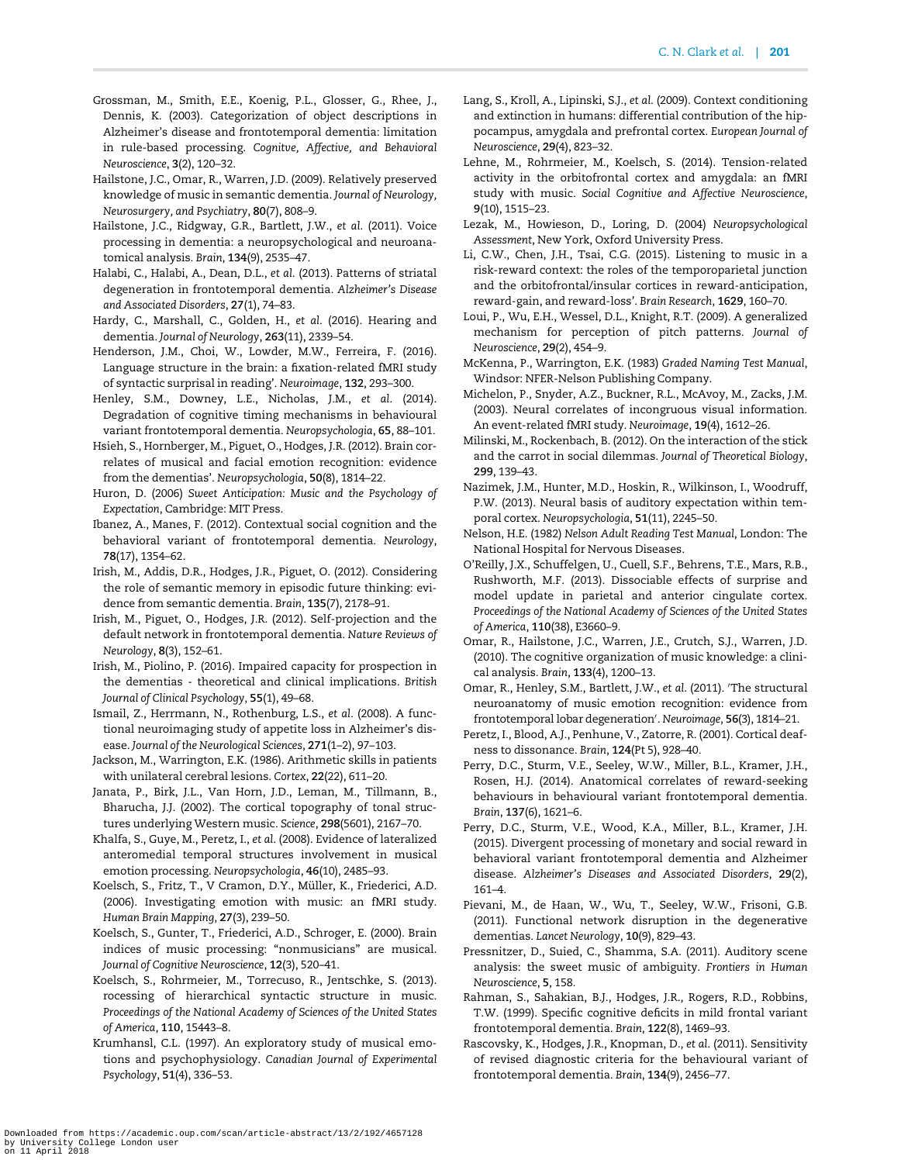- <span id="page-9-0"></span>Grossman, M., Smith, E.E., Koenig, P.L., Glosser, G., Rhee, J., Dennis, K. (2003). Categorization of object descriptions in Alzheimer's disease and frontotemporal dementia: limitation in rule-based processing. Cognitve, Affective, and Behavioral Neuroscience, 3(2), 120–32.
- Hailstone, J.C., Omar, R., Warren, J.D. (2009). Relatively preserved knowledge of music in semantic dementia. Journal of Neurology, Neurosurgery, and Psychiatry, 80(7), 808–9.
- Hailstone, J.C., Ridgway, G.R., Bartlett, J.W., et al. (2011). Voice processing in dementia: a neuropsychological and neuroanatomical analysis. Brain, 134(9), 2535–47.
- Halabi, C., Halabi, A., Dean, D.L., et al. (2013). Patterns of striatal degeneration in frontotemporal dementia. Alzheimer's Disease and Associated Disorders, 27(1), 74–83.
- Hardy, C., Marshall, C., Golden, H., et al. (2016). Hearing and dementia. Journal of Neurology, 263(11), 2339–54.
- Henderson, J.M., Choi, W., Lowder, M.W., Ferreira, F. (2016). Language structure in the brain: a fixation-related fMRI study of syntactic surprisal in reading'. Neuroimage, 132, 293–300.
- Henley, S.M., Downey, L.E., Nicholas, J.M., et al. (2014). Degradation of cognitive timing mechanisms in behavioural variant frontotemporal dementia. Neuropsychologia, 65, 88–101.
- Hsieh, S., Hornberger, M., Piguet, O., Hodges, J.R. (2012). Brain correlates of musical and facial emotion recognition: evidence from the dementias'. Neuropsychologia, 50(8), 1814–22.
- Huron, D. (2006) Sweet Anticipation: Music and the Psychology of Expectation, Cambridge: MIT Press.
- Ibanez, A., Manes, F. (2012). Contextual social cognition and the behavioral variant of frontotemporal dementia. Neurology, 78(17), 1354–62.
- Irish, M., Addis, D.R., Hodges, J.R., Piguet, O. (2012). Considering the role of semantic memory in episodic future thinking: evidence from semantic dementia. Brain, 135(7), 2178–91.
- Irish, M., Piguet, O., Hodges, J.R. (2012). Self-projection and the default network in frontotemporal dementia. Nature Reviews of Neurology, 8(3), 152–61.
- Irish, M., Piolino, P. (2016). Impaired capacity for prospection in the dementias - theoretical and clinical implications. British Journal of Clinical Psychology, 55(1), 49–68.
- Ismail, Z., Herrmann, N., Rothenburg, L.S., et al. (2008). A functional neuroimaging study of appetite loss in Alzheimer's disease. Journal of the Neurological Sciences, 271(1–2), 97–103.
- Jackson, M., Warrington, E.K. (1986). Arithmetic skills in patients with unilateral cerebral lesions. Cortex, 22(22), 611–20.
- Janata, P., Birk, J.L., Van Horn, J.D., Leman, M., Tillmann, B., Bharucha, J.J. (2002). The cortical topography of tonal structures underlying Western music. Science, 298(5601), 2167–70.
- Khalfa, S., Guye, M., Peretz, I., et al. (2008). Evidence of lateralized anteromedial temporal structures involvement in musical emotion processing. Neuropsychologia, 46(10), 2485–93.
- Koelsch, S., Fritz, T., V Cramon, D.Y., Müller, K., Friederici, A.D. (2006). Investigating emotion with music: an fMRI study. Human Brain Mapping, 27(3), 239–50.
- Koelsch, S., Gunter, T., Friederici, A.D., Schroger, E. (2000). Brain indices of music processing: "nonmusicians" are musical. Journal of Cognitive Neuroscience, 12(3), 520–41.
- Koelsch, S., Rohrmeier, M., Torrecuso, R., Jentschke, S. (2013). rocessing of hierarchical syntactic structure in music. Proceedings of the National Academy of Sciences of the United States of America, 110, 15443–8.
- Krumhansl, C.L. (1997). An exploratory study of musical emotions and psychophysiology. Canadian Journal of Experimental Psychology, 51(4), 336–53.
- Lang, S., Kroll, A., Lipinski, S.J., et al. (2009). Context conditioning and extinction in humans: differential contribution of the hippocampus, amygdala and prefrontal cortex. European Journal of Neuroscience, 29(4), 823–32.
- Lehne, M., Rohrmeier, M., Koelsch, S. (2014). Tension-related activity in the orbitofrontal cortex and amygdala: an fMRI study with music. Social Cognitive and Affective Neuroscience, 9(10), 1515–23.
- Lezak, M., Howieson, D., Loring, D. (2004) Neuropsychological Assessment, New York, Oxford University Press.
- Li, C.W., Chen, J.H., Tsai, C.G. (2015). Listening to music in a risk-reward context: the roles of the temporoparietal junction and the orbitofrontal/insular cortices in reward-anticipation, reward-gain, and reward-loss'. Brain Research, 1629, 160–70.
- Loui, P., Wu, E.H., Wessel, D.L., Knight, R.T. (2009). A generalized mechanism for perception of pitch patterns. Journal of Neuroscience, 29(2), 454–9.
- McKenna, P., Warrington, E.K. (1983) Graded Naming Test Manual, Windsor: NFER-Nelson Publishing Company.
- Michelon, P., Snyder, A.Z., Buckner, R.L., McAvoy, M., Zacks, J.M. (2003). Neural correlates of incongruous visual information. An event-related fMRI study. Neuroimage, 19(4), 1612–26.
- Milinski, M., Rockenbach, B. (2012). On the interaction of the stick and the carrot in social dilemmas. Journal of Theoretical Biology, 299, 139–43.
- Nazimek, J.M., Hunter, M.D., Hoskin, R., Wilkinson, I., Woodruff, P.W. (2013). Neural basis of auditory expectation within temporal cortex. Neuropsychologia, 51(11), 2245–50.
- Nelson, H.E. (1982) Nelson Adult Reading Test Manual, London: The National Hospital for Nervous Diseases.
- O'Reilly, J.X., Schuffelgen, U., Cuell, S.F., Behrens, T.E., Mars, R.B., Rushworth, M.F. (2013). Dissociable effects of surprise and model update in parietal and anterior cingulate cortex. Proceedings of the National Academy of Sciences of the United States of America, 110(38), E3660–9.
- Omar, R., Hailstone, J.C., Warren, J.E., Crutch, S.J., Warren, J.D. (2010). The cognitive organization of music knowledge: a clinical analysis. Brain, 133(4), 1200–13.
- Omar, R., Henley, S.M., Bartlett, J.W., et al. (2011). 'The structural neuroanatomy of music emotion recognition: evidence from frontotemporal lobar degeneration'. Neuroimage, 56(3), 1814-21.
- Peretz, I., Blood, A.J., Penhune, V., Zatorre, R. (2001). Cortical deafness to dissonance. Brain, 124(Pt 5), 928–40.
- Perry, D.C., Sturm, V.E., Seeley, W.W., Miller, B.L., Kramer, J.H., Rosen, H.J. (2014). Anatomical correlates of reward-seeking behaviours in behavioural variant frontotemporal dementia. Brain, 137(6), 1621–6.
- Perry, D.C., Sturm, V.E., Wood, K.A., Miller, B.L., Kramer, J.H. (2015). Divergent processing of monetary and social reward in behavioral variant frontotemporal dementia and Alzheimer disease. Alzheimer's Diseases and Associated Disorders, 29(2), 161–4.
- Pievani, M., de Haan, W., Wu, T., Seeley, W.W., Frisoni, G.B. (2011). Functional network disruption in the degenerative dementias. Lancet Neurology, 10(9), 829–43.
- Pressnitzer, D., Suied, C., Shamma, S.A. (2011). Auditory scene analysis: the sweet music of ambiguity. Frontiers in Human Neuroscience, 5, 158.
- Rahman, S., Sahakian, B.J., Hodges, J.R., Rogers, R.D., Robbins, T.W. (1999). Specific cognitive deficits in mild frontal variant frontotemporal dementia. Brain, 122(8), 1469–93.
- Rascovsky, K., Hodges, J.R., Knopman, D., et al. (2011). Sensitivity of revised diagnostic criteria for the behavioural variant of frontotemporal dementia. Brain, 134(9), 2456–77.